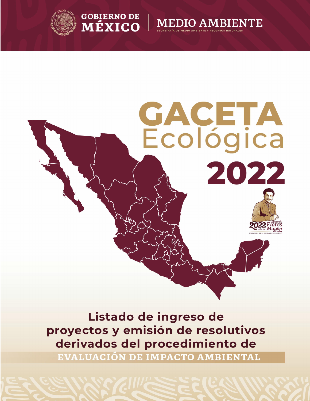







Listado de ingreso de proyectos y emisión de resolutivos derivados del procedimiento de

EVALUACIÓN DE IMPACTO AMBIENTAL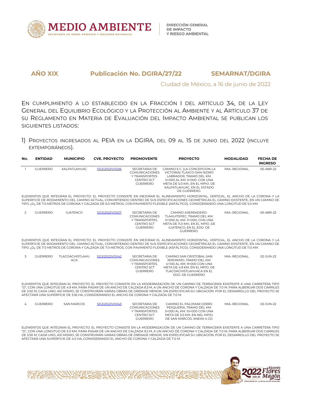

Ciudad de México, a 16 de junio de 2022

EN CUMPLIMIENTO A LO ESTABLECIDO EN LA FRACCIÓN I DEL ARTÍCULO 34, DE LA LEY GENERAL DEL EQUILIBRIO ECOLÓGICO Y LA PROTECCIÓN AL AMBIENTE Y AL ARTÍCULO 37 DE SU REGLAMENTO EN MATERIA DE EVALUACIÓN DEL IMPACTO AMBIENTAL SE PUBLICAN LOS SIGUIENTES LISTADOS:

1) PROYECTOS INGRESADOS AL PEIA EN LADGIRA, DEL 09 AL 15 DE JUNIO DEL 2022 (INCLUYE EXTEMPORÁNEOS).

| No.            | <b>ENTIDAD</b>  | <b>MUNICIPIO</b>              | <b>CVE. PROYECTO</b>                                                                    | <b>PROMOVENTE</b>                                                                                | <b>PROYECTO</b>                                                                                                                                                                                                                                                                                                                                                                                                                          | <b>MODALIDAD</b> | <b>FECHA DE</b><br><b>INGRESO</b> |
|----------------|-----------------|-------------------------------|-----------------------------------------------------------------------------------------|--------------------------------------------------------------------------------------------------|------------------------------------------------------------------------------------------------------------------------------------------------------------------------------------------------------------------------------------------------------------------------------------------------------------------------------------------------------------------------------------------------------------------------------------------|------------------|-----------------------------------|
| $\overline{1}$ | <b>GUERRERO</b> | <b>XALPATLAHUAC</b>           | 12GE2022VD026                                                                           | SECRETARIA DE<br>COMUNICACIONES<br>Y TRANSPORTES.<br><b>CENTRO SCT</b><br><b>GUERRERO</b>        | CAMINO E.C. (LA CONCEPCION-LA<br>VICTORIA)-TLAXCO-SAN ISIDRO<br>LABRADOR, TRAMO DEL KM.<br>0+000 AL KM, 5+000, CON UNA<br>META DE 5.0 KM., EN EL MPIO. DE<br>XALPATLAHUAC, EN EL ESTADO<br>DE GUERRERO.                                                                                                                                                                                                                                  | MIA.-REGIONAL    | 05-ABR-22                         |
|                |                 |                               |                                                                                         |                                                                                                  | ELEMENTOS QUE INTEGRAN EL PROYECTO: EL PROYECTO CONSISTE EN MEJORAR EL ALINEAMIENTO HORIZONTAL, VERTICAL, EL ANCHO DE LA CORONA Y LA<br>SUPERFICIE DE RODAMIENTO DEL CAMINO ACTUAL, CONVIRTIENDO DENTRO DE SUS ESPECIFICACIONES GEOMÉTRICAS EL CAMINO EXISTENTE, EN UN CAMINO DE<br>TIPO ¿D¿ DE 7.0 METROS DE CORONA Y CALZADA DE 6.0 METROS, CON PAVIMENTO FLEXIBLE (ASFÁLTICO), CONSIDERANDO UNA LONGITUD DE 5.0 KM.                   |                  |                                   |
| $\overline{2}$ | <b>GUERRERO</b> | <b>ILIATENCO</b>              | 12GE2022VD027                                                                           | SECRETARIA DE<br>COMUNICACIONES<br>Y TRANSPORTES.<br><b>CENTRO SCT</b><br><b>GUERRERO</b>        | CAMINO ASERRADERO-<br>TLAHUITEPEC, TRAMO DEL KM.<br>0+000 AL KM, 11+000, CON UNA<br>META DE 11.0 KM., EN EL MPIO. DE<br>ILIATENCO. EN EL EDO. DE<br><b>GUERRERO.</b>                                                                                                                                                                                                                                                                     | MIA.-REGIONAL    | 05-ABR-22                         |
|                |                 |                               |                                                                                         |                                                                                                  | ELEMENTOS QUE INTEGRAN EL PROYECTO: EL PROYECTO CONSISTE EN MEJORAR EL ALINEAMIENTO HORIZONTAL, VERTICAL, EL ANCHO DE LA CORONA Y LA<br>SUPERFICIE DE RODAMIENTO DEL CAMINO ACTUAL, CONVIRTIENDO DENTRO DE SUS ESPECIFICACIONES GEOMÉTRICAS EL CAMINO EXISTENTE, EN UN CAMINO DE<br>TIPO ¿D¿ DE 7.0 METROS DE CORONA Y CALZADA DE 7.0 METROS, CON PAVIMENTO FLEXIBLE (ASFÁLTICO), CONSIDERANDO UNA LONGITUD DE 11.0 KM.                  |                  |                                   |
| 3              | <b>GUERRERO</b> | TLACOACHISTLAHU<br><b>ACA</b> | 12GE2022VD042                                                                           | SECRETARIA DE<br>COMUNICACIONES<br>Y TRANSPORTES.<br><b>CENTRO SCT</b><br><b>GUERRERO</b>        | CAMINO SAN CRISTOBAL-SAN<br>JERONIMO, TRAMO DEL KM.<br>4+100 AL KM, 9+000 CON UNA<br>META DE 4.9 KM. EN EL MPIO. DE<br>TLACOACHISTLAHUACA EN EL<br>EDO. DE GUERRERO                                                                                                                                                                                                                                                                      | MIA.-REGIONAL    | 02-JUN-22                         |
|                |                 |                               | AFECTARÁ UNA SUPERFICIE DE 3.92 HA, CONSIDERANDO EL ANCHO DE CORONA Y CALZADA DE 7.0 M. |                                                                                                  | ELEMENTOS QUE INTEGRAN EL PROYECTO: EL PROYECTO CONSISTE EN LA MODERNIZACIÓN DE UN CAMINO DE TERRACERÍA EXISTENTE A UNA CARRETERA TIPO<br>"D", CON UNA LONGITUD DE 4.9 KM, PARA PASAR DE UN ANCHO DE CALZADA 8.3 M, A UN ANCHO DE CORONA Y CALZADA DE 7.0 M, PARA ALBERGAR DOS CARRILES<br>DE 3,50 M, CADA UNO, ASÍ MISMO, SE CONSTRUIRÁN VARIAS OBRAS DE DRENAJE MENOR, SIN ESPECIFICAR SU UBICACIÓN, POR EL DESARROLLO DEL PROYECTO SE |                  |                                   |
| $\overline{4}$ | <b>GUERRERO</b> | <b>SAN MARCOS</b>             | 12GE2022VD043                                                                           | SECRETARIA DE<br><b>COMUNICACIONES</b><br>Y TRANSPORTES.<br><b>CENTRO SCT</b><br><b>GUERRERO</b> | CAMINO EL PALOMAR CERRO<br>PESOUERIA. TRAMO DEL KM.<br>5+000 AL KM, 10+000 CON UNA<br>META DE 5.0 KM. EN NEL MPIO.<br>DE SAN MARCOS. ANEXA 4 CD.                                                                                                                                                                                                                                                                                         | MIA.-REGIONAL    | 02-JUN-22                         |
|                |                 |                               | AFECTARÁ UNA SUPERFICIE DE 4.0 HA, CONSIDERANDO EL ANCHO DE CORONA Y CALZADA DE 7.0 M.  |                                                                                                  | ELEMENTOS QUE INTEGRAN EL PROYECTO: EL PROYECTO CONSISTE EN LA MODERNIZACIÓN DE UN CAMINO DE TERRACERÍA EXISTENTE A UNA CARRETERA TIPO<br>"D", CON UNA LONGITUD DE 5.0 KM, PARA PASAR DE UN ANCHO DE CALZADA 9.2 M, A UN ANCHO DE CORONA Y CALZADA DE 7.0 M, PARA ALBERGAR DOS CARRILES<br>DE 3.50 M, CADA UNO, ASÍ MISMO, SE CONSTRUIRÁN VARIAS OBRAS DE DRENAJE MENOR. SIN ESPECIFICAR SU UBICACIÓN, POR EL DESARROLLO DEL PROYECTO SE |                  |                                   |

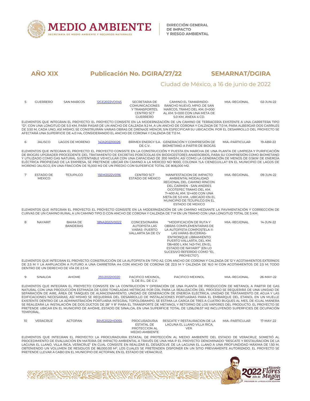

## Ciudad de México, a 16 de junio de 2022

| 5 | <b>GUERRERO</b>                       | <b>SAN MARCOS</b>                                                                                                                           | 12GE2022VD045 | SECRETARIA DE<br><b>COMUNICACIONES</b><br>Y TRANSPORTES.<br>CENTRO SCT<br><b>GUERRERO</b>     | CAMINO EL TAMARINDO-<br>RANCHO NUEVO, MPIO, DE SAN<br>MARCOS, TRAMO DEL KM, 0+000<br>AL KM. 5+000 CON UNA META DE<br>5.0 KM, ANEXA 4 CD.                                                                                                                                                                                                                                                                                                                                                                                                                                                                                                                                                                                                                                                                                                              | MIA.-REGIONAL   | 02-JUN-22 |  |
|---|---------------------------------------|---------------------------------------------------------------------------------------------------------------------------------------------|---------------|-----------------------------------------------------------------------------------------------|-------------------------------------------------------------------------------------------------------------------------------------------------------------------------------------------------------------------------------------------------------------------------------------------------------------------------------------------------------------------------------------------------------------------------------------------------------------------------------------------------------------------------------------------------------------------------------------------------------------------------------------------------------------------------------------------------------------------------------------------------------------------------------------------------------------------------------------------------------|-----------------|-----------|--|
|   |                                       |                                                                                                                                             |               | AFECTARÁ UNA SUPERFICIE DE 4.0 HA. CONSIDERANDO EL ANCHO DE CORONA Y CALZADA DE 7.0 M.        | ELEMENTOS QUE INTEGRAN EL PROYECTO: EL PROYECTO CONSISTE EN LA MODERNIZACIÓN DE UN CAMINO DE TERRACERÍA EXISTENTE A UNA CARRETERA TIPO<br>"D", CON UNA LONGITUD DE 5.0 KM, PARA PASAR DE UN ANCHO DE CALZADA 9.2 M, A UN ANCHO DE CORONA Y CALZADA DE 7.0 M, PARA ALBERGAR DOS CARRILES<br>DE 3,50 M, CADA UNO, ASÍ MISMO, SE CONSTRUIRÁN VARIAS OBRAS DE DRENAJE MENOR. SIN ESPECIFICAR SU UBICACIÓN, POR EL DESARROLLO DEL PROYECTO SE                                                                                                                                                                                                                                                                                                                                                                                                              |                 |           |  |
| 6 | <b>JALISCO</b>                        | <b>LAGOS DE MORENO</b>                                                                                                                      | 14JA2022I0026 | DE C.V.                                                                                       | BRIMEX ENERGY S.A. GENERACIÓN Y COMPRESIÓN DE<br>BIOMETANO A PARTIR DE BIOGÁS                                                                                                                                                                                                                                                                                                                                                                                                                                                                                                                                                                                                                                                                                                                                                                         | MIA.-PARTICULAR | 19-ABR-22 |  |
|   |                                       |                                                                                                                                             |               | MORENO JALISCO, EN UNA FRACCIÓN DE 15.000 M2 DE UN PREDIO CON SUPERFICIE TOTAL DE 806.000 M2. | ELEMENTOS QUE INTEGRAN EL PROYECTO: EL PROYECTO CONSISTE EN LA CONSTRUCCIÓN Y PUESTA EN MARCHA DE UNA PLANTA DE LIMPIEZA Y PURIFICACIÓN<br>DE BIOGÁS UPGRADER PROCEDENTE DEL TRATAMIENTO DE EXCRETAS PORCÍCOLAS EN BIODIGESTORES ANAEROBIOS, PARA SU COMPRESIÓN COMO BIOMETANO<br>Y UTILIZADO COMO GAS NATURAL SUSTENTABLE VEHICULAR CON UNA CAPACIDAD DE 200 NM3/H; ASÍ COMO LA GENERACIÓN DE MENOS DE 0.5KW DE ENERGÍA<br>ELÉCTRICA PROPIEDAD DE LA EMPRESA. SE PRETENDE UBICAR EN CAMINO A LA MERCED NO 9000, COLONIA ?LA CIENEGUILLA? EN EL MUNICIPIO DE LAGOS DE                                                                                                                                                                                                                                                                                 |                 |           |  |
| 7 | <b>FSTADO DE</b><br><b>MEXICO</b>     | <b>TFJUPILCO</b>                                                                                                                            | 15FM2022V0116 | <b>CENTRO SCT</b><br>ESTADO DE MEXICO                                                         | MANIFESTACION DE IMPACTO<br>AMBIENTAL MODALIDAD<br>REGIONAL DEL CAMINO RINCON<br>DEL CARMEN - SAN ANDRES<br>OCOTEPEC TRAMO DEL KM.<br>7+400 AL KM, 12+400 CON UNA<br>META DE 5.0 KM., UBICADO EN EL<br>MUNICIPIO DE TEJUPILCO EN EL<br>ESTADO DE MEXICO                                                                                                                                                                                                                                                                                                                                                                                                                                                                                                                                                                                               | MIA.-REGIONAL   | 09-JUN-22 |  |
|   |                                       |                                                                                                                                             |               |                                                                                               | ELEMENTOS OUE INTEGRAN EL PROYECTO: EL PROYECTO CONSISTE EN LA MODERNIZACIÓN DE UN CAMINO MEDIANTE LA PAVIMENTACIÓN Y CORRECCIÓN DE<br>CURVAS DE UN CAMINO RURAL A UN CAMINO TIPO D CON ANCHO DE CORONA Y CALZADA DE 7 M EN UN TRAMO CON UNA LONGITUD TOTAL DE 5 KM.                                                                                                                                                                                                                                                                                                                                                                                                                                                                                                                                                                                  |                 |           |  |
| 8 | <b>NAYARIT</b>                        | <b>BAHIA DE</b><br><b>BANDERAS</b>                                                                                                          | 18NA2022V0022 | CONCESIONARIA<br>AUTOPISTA LAS<br>VARAS-PUERTO<br>VALLARTA SA DE CV                           | "MODIFICACIÓN DE RUTA Y<br>OBRAS COMPLEMENTARIAS DE<br>LA AUTOPISTA COMPOSTELA II-<br>LAS VARAS-BUCERÍAS-<br>ENTRONQUE LIBRAMIENTO<br>PUERTO VALLARTA, DEL KM.<br>136+600 L KM. 142+741, EN EL<br>ESTADO DE NAYARIT" (EN LO<br>SUCESIVO REFERIDO COMO "EL<br>PROYECTO").                                                                                                                                                                                                                                                                                                                                                                                                                                                                                                                                                                              | MIA.-REGIONAL   | 14-JUN-22 |  |
|   | DENTRO DE UN DERECHO DE VÍA DE 2.5 M. |                                                                                                                                             |               |                                                                                               | ELEMENTOS OUE INTEGRAN EL PROYECTO: CONSTRUCCIÓN DE LA AUTOPISTA EN TIPO A2. CON ANCHO DE CORONA Y CALZADA DE 12 Y ACOTAMIENTOS EXTERNOS<br>DE 2.5 M Y LA AMPLIACIÓN A FUTURO A UNA CARRETERA A4 CON ANCHO DE CORONA DE 22.5 M Y CALZADA DE 16.0 M CON ACOTAMIENTOS DE 2.5 M; TODO                                                                                                                                                                                                                                                                                                                                                                                                                                                                                                                                                                    |                 |           |  |
| 9 | SINALOA                               | <b>AHOME</b>                                                                                                                                | 25SI2022I0020 | PACIFICO MEXINOL,<br>S. DE R.L. DE C.V.                                                       | PACIFICO MEXINOL                                                                                                                                                                                                                                                                                                                                                                                                                                                                                                                                                                                                                                                                                                                                                                                                                                      | MIA.-REGIONAL   | 26-MAY-22 |  |
|   |                                       | PRETENDE UBICAR EN EL MUNICIPIO DE AHOME, ESTADO DE SINALOA, EN UNA SUPERFICIE TOTAL DE 1,256,016.57 M2 INCLUYENDO SUPERFICIES DE OCUPACIÓN |               |                                                                                               | ELEMENTOS QUE INTEGRAN EL PROYECTO: CONSISTE EN LA CONTRUCCIÓN Y OPERACIÓN DE UNA PLANTA DE PRODUCCIÓN DE METANOL A PARTIR DE GAS<br>NATURAL CON UNA PRODUCCIÓN ESTIMADA DE 5,000 TONELADAS METRICAS POR DÍA, PARA LA REALIZACIÓN DEL PROCESO SE REQUERIRÁ DE UNA UNIDAD DE<br>SEPARACIÓN DE AIRE, ÁREA DE TANQUES DE ALMACENAMIENTO, UNIDAD DE GENERACIÓN DE ENERGÍA ELÉCTRICA, UNIDAD DE TRATAMIENTO DE AGUA Y LAS<br>EDIFICACIONES NECESARIAS: ASÍ MISMO SE REOUERIRÁ DEL DESARROLLO DE INSTALACIONES PORTUARIAS PARA EL EMBAROUE DEL ETANOL EN UN MUELLE<br>EXISTENTE DENTRO DE LA ADMINISTRACIÓN PORTUARIA INTEGRAL TOPOLOBAMPO, SE ESTIMA LA CARGA DE TRES A CUATRO BUOUES AL MES, DE IGUAL MANERA<br>SE REALIZARÁ LA INSTALACIÓN DE DOS DUCTOS DE 28" Y 8" PARA EL TRANSPORTE DE METANOL Y RETORNO DE LOS VAPORES DEL PRODUCTO. EL PROYECTO SE |                 |           |  |

| 10 | <b>VFRACRUZ</b> | <b>ACTOPAN</b> | 30VF2022HD055 | PROCURADURIA<br><b>FSTATAL DE</b><br>PROTECCION AI<br><b>MEDIO AMBIENTE</b> | RESCATE Y RESTAURACION DE LA<br>LAGUNA EL LLANO VILLA RICA.<br>VER. | MIA.-PARTICUI AR | I7-MAY-22 |
|----|-----------------|----------------|---------------|-----------------------------------------------------------------------------|---------------------------------------------------------------------|------------------|-----------|
|----|-----------------|----------------|---------------|-----------------------------------------------------------------------------|---------------------------------------------------------------------|------------------|-----------|

ELEMENTOS QUE INTEGRAN EL PROYECTO: LA PROCURADURIA ESTATAL DE PROTECCIÓN AL MEDIO AMBIENTE DEL ESTADO DE VERACRUZ, SOMETIÓ AL PROCEDIMIENTO DE EVALUACIÓN EN MATERIA DE IMPACTO AMBIENTAL A TRAVÉS DE UNA MIA-P EL PROYECTO DENOMINADO "RESCATE Y RESTAURACIÓN DE LA<br>LAGUNA EL LLANO, VILLA RICA, VERACRUZ" EN CUAL CONSISTE EN REALIZAR EL DESAZOLVE DE LA

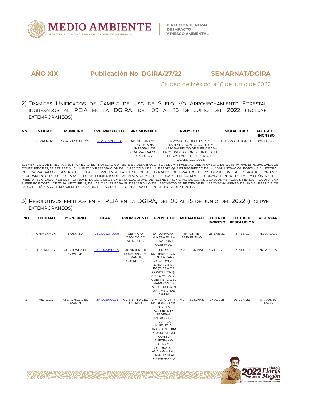

Ciudad de México, a 16 de junio de 2022

2) TRÁMITES UNIFICADOS DE CAMBIO DE USO DE SUELO Y/O APROVECHAMIENTO FORESTAL INGRESADOS AL PEIA EN LA DGIRA, DEL 09 AL 15 DE JUNIO DEL 2022 (INCLUYE EXTEMPORÁNEOS)

| No. | <b>ENTIDAD</b> | <b>MUNICIPIO</b> | <b>CVE. PROYECTO</b> | <b>PROMOVENTE</b>     | <b>PROYECTO</b>               | <b>MODALIDAD</b> | <b>FECHA DE</b><br><b>INGRESO</b> |
|-----|----------------|------------------|----------------------|-----------------------|-------------------------------|------------------|-----------------------------------|
|     | VERACRUZ       | COATZACOALCOS    | 30VE2022H0058        | <b>ADMINISTRACION</b> | PROYECTO EJECUTIVO DE         | DTU.-MODALIDAD B | 09-JUN-22                         |
|     |                |                  |                      | PORTUARIA             | TABLAESTACADO, CORTES Y       |                  |                                   |
|     |                |                  |                      | INTEGRAL DE           | MEJORAMIENTO DE SUELO PARA    |                  |                                   |
|     |                |                  |                      | COATZACOALCOS.        | LA CONSTRUCCION DE UNA TEC EN |                  |                                   |
|     |                |                  |                      | S.A. DE C.V.          | EL GAVILAN EN EL PUERTO DE    |                  |                                   |
|     |                |                  |                      |                       | COATZACOALCOS                 |                  |                                   |

ELEMENTOS QUE INTEGRAN EL PROYECTO: EL PROYECTO CONSISTE EN DESARROLLAR LA ETAPA 1 FASE ?A? DEL PROYECTO DE LA TERMINAL ESPECIALIZADA DE CONTENEDORES, SE REFIERE A LA LIMPIEZA Y PREPARACIÓN DE LA FRACCIÓN DE UN PREDIO QUE ESPROPIEDAD DE LA ADMINISTRACIÓN PORTUARIA INTEGRAL DE COATZACOALCOS, DENTRO DEL CUAL SE PRETENDE LA EJECUCIÓN DE TRABAJOS DE DRAGADO DE CONSTRUCCIÓN, TABLESTACADO, CORTES Y<br>MEJORAMIENTO DE SUELO PARA EL ESTABLECIMIENTO DE LAS PLATAFORMAS DE TIERRA Y TERRACERÍAS SE UBICARÁ PREDIO ?EL GAVILÁN? DE SU PROPIEDAD, LA CUAL SE UBICA EN LA LOCALIDAD DE ALLENDE, MUNICIPIO DE COATZACOALCOS, VERACRUZ, MÉXICO, Y OCUPA UNA SUPERFICIE TOTAL DE 75.94 HECTÁREAS, DE LAS CUALES PARA EL DESARROLLO DEL PROYECTO SE PRETENDE ELAPROVECHAMIENTO DE UNA SUPERFICIE DE 53.053 HECTÁREAS Y SE REQUIERE DEL CAMBIO DE USO DE SUELO PARA UNA SUPERFICIE TOTAL DE 41.038 HA.

3) RESOLUTIVOS EMITIDOS EN EL PEIA EN LADGIRA, DEL 09 AL 15 DE JUNIO DEL 2022 (INCLUYE EXTEMPORÁNEOS).

| п.<br>2 | CHIHUAHUA       | <b>ROSARIO</b>                        | 08Cl2022M0001 | <b>SERVICIO</b><br><b>GEOLOGICO</b>                 | <b>EXPLORACION</b>                                                                                                                                                                                                                            | <b>INFORME</b>    | 25-ENE-22 | 15-FEB-22 | NO APLICA         |
|---------|-----------------|---------------------------------------|---------------|-----------------------------------------------------|-----------------------------------------------------------------------------------------------------------------------------------------------------------------------------------------------------------------------------------------------|-------------------|-----------|-----------|-------------------|
|         |                 |                                       |               | MEXICANO                                            | MINERA EN LA<br>ASIGNACION EL<br>QUEMADO                                                                                                                                                                                                      | <b>PREVENTIVO</b> |           |           |                   |
|         | <b>GUERRERO</b> | COCHOAPA EL<br><b>GRANDE</b>          | 12GE2020VD059 | MUNICIPIO DE<br>COCHOAPA EL<br>GRANDE,<br>GUERRERO. | PROY.<br>MODERNIZACIO<br>N DE LA CARR.<br>COCHOAPA-<br><b>LINDA VISTA</b><br>EC.(TLAPA DE<br>COMONFORT)-<br>ALCOZAUCA DE<br><b>GUERRERO DEL</b><br>TRAMO 32+600<br>AL 45+000 CON<br>UNA META DE<br>12.4 KM.                                   | MIA.-REGIONAL     | 03-DIC-20 | 04-ABR-22 | NO APLICA         |
| 3       | <b>HIDALGO</b>  | <b>ATOTONILCO EL</b><br><b>GRANDE</b> | 13HI2021V0034 | <b>GOBIERNO DEL</b><br><b>ESTADO</b>                | <b>AMPLIACION Y</b><br>MODERNIZACIO<br>N DE LA<br>CARRETERA<br>FEDERAL<br>MEXICO 105,<br>PACHUCA-<br>HUEJUTLA,<br>TRAMO DEL KM<br>48+700 AL KM<br>100+560,<br>SUBTRAMO<br>CERRO<br>COLORADO-<br>ACALOME, DEL<br>KM 48+700 AL<br>KM 59+562.822 | MIA.-REGIONAL     | 27-JUL-21 | 03-JUN-22 | 6 AÑOS 30<br>AÑOS |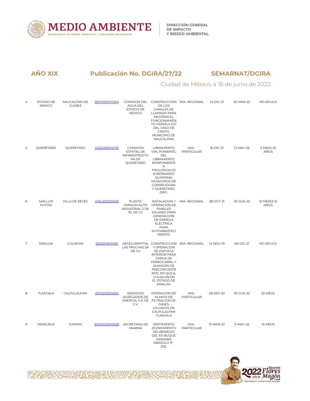

# Ciudad de México, a 16 de junio de 2022

| $\overline{4}$ | ESTADO DE<br><b>MEXICO</b>       | NAUCALPAN DE<br><b>JUAREZ</b> | 15EM2021H0264 | AGUA DEL<br><b>ESTADO DE</b><br><b>MEXICO</b>                               | COMISION DEL CONSTRUCCIÓN MIA.-REGIONAL<br>DE LOS<br>CANALES DE<br>LLAMADA PARA<br>MEJORAR EL<br><b>FUNCIONAMIEN</b><br><b>TO HIDRÁULICO</b><br>DEL VASO DE<br>CRISTO,<br>MUNICIPIO DE<br>NAUCALPAN                |                            | 14-DIC-21 | 30-MAR-22 | NO APLICA                  |
|----------------|----------------------------------|-------------------------------|---------------|-----------------------------------------------------------------------------|--------------------------------------------------------------------------------------------------------------------------------------------------------------------------------------------------------------------|----------------------------|-----------|-----------|----------------------------|
| 5              | QUERETARO                        | QUERETARO                     | 22QE2021HD116 | <b>COMISION</b><br><b>ESTATAL DE</b><br>INFRAESTRUCTU<br>RA DE<br>QUERETARO | LIBRAMIENTO<br>VIAL PONIENTE,<br>DEL<br><b>LIBRAMIENTO</b><br>NORPONIENTE<br>A<br>PROLONGACIO<br>N BERNARDO<br>QUINTANA,<br>MUNICIPIOS DE<br>CORREGIDORA<br>Y QUERETARO,<br>QRO.                                   | MIA.-<br><b>PARTICULAR</b> | 16-DIC-21 | 12-MAY-22 | 2 AÑOS 25<br>AÑOS          |
| 6              | <b>SAN LUIS</b><br><b>POTOSI</b> | VILLA DE REYES                | 24SL2021E0059 | <b>PLASTIC</b><br>OMNIUM AUTO<br><b>INDUSTRIAL S DE</b><br>RL DE CV         | INSTALACION Y MIA.-REGIONAL<br>OPERACION DE<br>PANELES<br>SOLARES PARA<br><b>GENERACION</b><br>DE ENERGIA<br><b>ELECTRICA</b><br><b>PARA</b><br><b>AUTOABASTECI</b><br><b>MIENTO</b>                               |                            | 28-OCT-21 | 03-JUN-22 | <b>12 MESES 15</b><br>AÑOS |
| $\overline{7}$ | SINALOA                          | CULIACAN                      | 25SI2019VD105 | LAS TRUCHAS SA Y OPERACION<br>DE CV                                         | ARCELORMITTAL CONSTRUCCION MIA.-REGIONAL<br>DE ESPUELA<br><b>INTERIOR PARA</b><br>CARGA DE<br><b>FERROCARRILY</b><br>ALMACEN DE<br>PRECONCENTR<br>ADO, EN QUILA,<br><b>CULIACAN EN</b><br>EL ESTADO DE<br>SINALOA. |                            | 14-NOV-19 | 06-DIC-21 | NO APLICA                  |
| 8              | TLAXCALA                         | CALPULALPAN                   | 29TX2020I0026 | <b>SERVICIOS</b><br>AGREGADOS DE<br>ENERGIA, S.A. DE FILTRACION DE<br>C.V.  | OPERACION DE<br>PLANTA DE<br><b>GASES</b><br><b>LICUADOS EN</b><br>CALPULALPAN<br>TLAXCALA                                                                                                                         | MIA -<br><b>PARTICULAR</b> | 29-SEP-20 | 03-JUN-22 | 25 AÑOS                    |
| 9              | VERACRUZ                         | <b>TUXPAM</b>                 | 30VE2022H0035 | SECRETARIA DE<br><b>MARINA</b>                                              | VERTIMIENTO<br>(HUNDIMIENTO<br>DELIBERADO)<br>DEL EX-BUQUE<br><b>MARIANO</b><br>ABASOLO (F-<br>$212$ ).                                                                                                            | MIA.-<br>PARTICULAR        | 15-MAR-22 | 11-MAY-22 | 10 AÑOS                    |

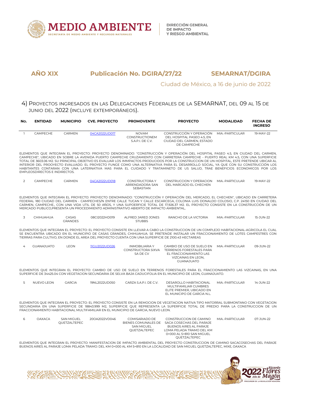

## Ciudad de México, a 16 de junio de 2022

## 4) PROYECTOS INGRESADOS EN LAS DELEGACIONES FEDERALES DE LA SEMARNAT, DEL 09 AL 15 DE JUNIO DEL 2022 (INCLUYE EXTEMPORÁNEOS).

| No.            | <b>ENTIDAD</b>                       | <b>MUNICIPIO</b>        | <b>CVE. PROYECTO</b> | <b>PROMOVENTE</b>                                                                      | <b>PROYECTO</b>                                                                                                                                                                                                                                                                                                                                                                                                                                                                                                                                                                                                                                                                        | <b>MODALIDAD</b> | <b>FECHA DE</b><br><b>INGRESO</b> |
|----------------|--------------------------------------|-------------------------|----------------------|----------------------------------------------------------------------------------------|----------------------------------------------------------------------------------------------------------------------------------------------------------------------------------------------------------------------------------------------------------------------------------------------------------------------------------------------------------------------------------------------------------------------------------------------------------------------------------------------------------------------------------------------------------------------------------------------------------------------------------------------------------------------------------------|------------------|-----------------------------------|
|                | CAMPECHE                             | CARMEN                  | 04CA2022UD017        | <b>NOVAM</b><br><b>CONSTRUCTIONEM</b><br>S.A.P.I. DE C.V.                              | CONSTRUCCIÓN Y OPERACIÓN<br>DEL HOSPITAL PASEO 4.5. EN<br>CIUDAD DEL CARMEN, ESTADO<br>DE CAMPECHE                                                                                                                                                                                                                                                                                                                                                                                                                                                                                                                                                                                     | MIA.-PARTICUI AR | 19-MAY-22                         |
|                | <b>EMPLEOSDIRECTOS E INDIRECTOS.</b> |                         |                      |                                                                                        | ELEMENTOS QUE INTEGRAN EL PROYECTO: PROYECTO DENOMINADO: "CONSTRUCCIÓN Y OPERACIÓN DEL HOSPITAL PASEO 4.5, EN CIUDAD DEL CARMEN,<br>CAMPECHE", UBICADO EN SOBRE LA AVENIDA PUERTO CAMPECHE CRUZAMIENTO CON CARRETERA CAMPECHE - PUERTO REAL KM 4.5, CON UNA SUPERFICIE<br>TOTAL DE 3603.06 M2, SU PRINCIPAL OBJETIVO ES EVALUAR LOS IMMPACTOS PRODUCIDOS POR LA CONSTRUCCION DE UN HOSPITAL, ESTE PRETENDE UBICAR AL<br>INTERIOR DEL PROOYECTO EVALUADO. EL PROYECTO FUNGE COMO UNA ALTERNATIVA PARA EL DESARROLLO SOCIAL. YA OUE CON SU CONSTRUCCIÓN LOS<br>HABITANTES CONTARAN CON UNA LATERNATIVA MAS PARA EL CUIDADO Y TRATAMINETO DE US SALUD, TRAE BENEFICIOS ECONOMICOS POR LOS |                  |                                   |
| $\overline{2}$ | CAMPECHE                             | CARMEN                  | 04CA2022UD018        | CONSTRUCTORA Y<br>ARRENDADORA SAN<br>SEBASTIAN                                         | CONSTRUCCION Y OPERACION MIA.-PARTICULAR<br>DEL MARCADO EL CHECHEN                                                                                                                                                                                                                                                                                                                                                                                                                                                                                                                                                                                                                     |                  | 19-MAY-22                         |
|                |                                      |                         |                      | MERCADO PUBLICO.PRESENTA UN PROCEDIMIENTO ADMINISTRATIVO ABIERTO DE IMPACTO AMBIENTAL. | ELEMENTOS QUE INTEGRAN EL PROYECTO: PROYECTO DENOMINADO: "CONSTRUCCIÓN Y OPERACIÓN DEL MERCADO, EL CHECHEN", UBICADO EN CARRETERA<br>FEDERAL 180 CIUDAD DEL CARMEN - CAMPECHES/N ENTRE CALLE TUCAN Y CALLE ESCARCEGA, COLONIA LUIS DONALDO COLOSIO, C.P. 24150 EN CIUDAD DEL<br>CARMEN, CAMPECHE., CON UNA VIDA UTIL DE 50 AÑOS, Y UNA SUPOERFICIE TOTAL DE 17,926.37 M2. EL PROYECTO CONSISTE EN LA CONSTRUCCIÓN DE UN                                                                                                                                                                                                                                                                |                  |                                   |
| 3              | CHIHUAHUA                            | CASAS<br><b>GRANDES</b> | 08CI2022HD019        | ALFRED JARED JONES<br><b>STUBBS</b>                                                    | RANCHO DE LA VICTORIA                                                                                                                                                                                                                                                                                                                                                                                                                                                                                                                                                                                                                                                                  | MIA.-PARTICULAR  | 15-JUN-22                         |
|                |                                      |                         |                      |                                                                                        | ELEMENTOS QUE INTEGRAN EL PROYECTO: EL PROYECTO CONSISTE EN LLEVAR A CABO LA CONSTRUCCION DE UN COMPLEJO HABITACIONAL-AGRICOLA EL CUAL<br>SE ENCUENTRA UBICADO EN EL MUNICIPIO DE CASAS GRANDES, CHIHUAHUA, SE PRETENDE INSTALAR UN FRACCIONAMIENTO DE LOTES CAMPESTRES CON<br>TIERRAS PARA CULTIVO, EN DONDE EL AREA DEL PROYECTO CUENTA CON UNA SUPERFICIE DE 2100.43 HECTAREAS                                                                                                                                                                                                                                                                                                      |                  |                                   |
| $\overline{4}$ | <b>GUANAJUATO</b>                    | <b>LEON</b>             | 11GU2022UD026        | <b>INMOBILIARIA Y</b><br>SA DE CV                                                      | CAMBIO DE USO DE SUELO EN<br>CONSTRUCTORA SIXVA TERRENOS FORESTALES PARA<br>EL FRACCIONAMIENTO LAS<br>VIZCAINAS EN LEON.<br><b>GUANAJUATO</b>                                                                                                                                                                                                                                                                                                                                                                                                                                                                                                                                          | MIA.-PARTICUI AR | 09-JUN-22                         |

ELEMENTOS QUE INTEGRAN EL PROYECTO: CAMBIO DE USO DE SUELO EN TERRENOS FORESTALES PARA EL FRACCIONAMIENTO LAS VIZCAINAS, EN UNA SUPERFICIE DE 34425.04 CON VEGETACION SECUNDARIA DE SELVA BAJA CADUCIFOLIA EN EL MUNICIPIO DE LEON, GUANAJUATO.

| NUEVO LEON | <b>GARCIA</b> | 19NI 2022UD050 | CARZA S.A.P.I. DF C.V. | DESAROLLO HABITACIONAL<br>MULTIFAMILIAR CUMBRES | MIA.-PARTICUI AR | 14-JUN-22 |
|------------|---------------|----------------|------------------------|-------------------------------------------------|------------------|-----------|
|            |               |                |                        | ELITE PREMIER, UBICADO EN                       |                  |           |
|            |               |                |                        | EL MUNICIPO DE GARCIA N.L.                      |                  |           |

ELEMENTOS QUE INTEGRAN EL PROYECTO: EL PROYECTO CONSISTE EN LA REMOCION DE VEGETACION NATIVA TIPO MATORRAL SUBMONTANO CON VEGETACION SECUNDARIA EN UNA SUPERFICIE DE 18843.999 M2, SUPERFICIE QUE REPRESENTA LA SUPERFICIE TOTAL DE PREDIO PARA LA CONSTRUCCION DE UN FRACCIONAMIENTO HABITACIONAL MULTIFAMILIAR EN EL MUNICIPIO DE GARCIA, NUEVO LEON.

| 6 | OAXACA | <b>SAN MIGUEL</b><br>OUETZALTEPEC | 200A2022VD046 | COMISARIADO DE<br>SAN MIGUEL<br>OUETZALTEPEC | CONSTRUCCION DE CAMINO<br>BIENES COMUNALES DE SACA COSECHAS DEL PARAJE<br>BUENOS AIRES AL PARAJE<br>LOMA PELADA TRAMO DEL KM<br>0+000 AL 5+810 SAN MIGUEL<br>OUETZALTEPEC | MIA.-PARTICUI AR | 07-JUN-22 |
|---|--------|-----------------------------------|---------------|----------------------------------------------|---------------------------------------------------------------------------------------------------------------------------------------------------------------------------|------------------|-----------|
|   |        |                                   |               |                                              |                                                                                                                                                                           |                  |           |

ELEMENTOS QUE INTEGRAN EL PROYECTO: MANIFESTACION DE IMPACTO AMBIENTAL DEL PROYECTO CONSTRUCCION DE CAMINO SACACOSECHAS DEL PARAJE BUENOS AIRES AL PARAJE LOMA PELADA TRAMO: DEL KM 0+000 AL KM 5+810 EN LA LOCALIDAD DE SAN MIGUELQUETZALTEPEC, MIXE, OAXACA

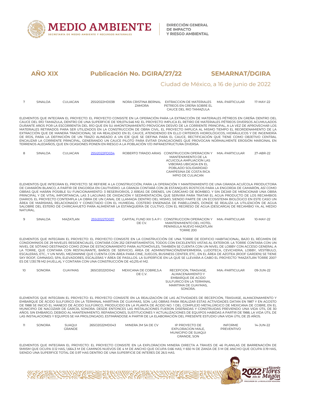

## Ciudad de México, a 16 de junio de 2022

| $7\overline{ }$ | SINALOA | CULIACAN       | 25SI2022HD038                                                               | <b>ZAMORA</b>                                                                                   | NORA CRISTINA BERNAL EXTRACCION DE MATERIALES<br>PETREOS EN GREÑA SOBRE EL<br>CAUCE DEL RIO TAMAZULA                                                                                                                                                                                                                                                                                                                                                                                                                                                                                                                                                                                                                                                                                                                                                                                                                                                                                             | MIA.-PARTICULAR   | 17-MAY-22 |
|-----------------|---------|----------------|-----------------------------------------------------------------------------|-------------------------------------------------------------------------------------------------|--------------------------------------------------------------------------------------------------------------------------------------------------------------------------------------------------------------------------------------------------------------------------------------------------------------------------------------------------------------------------------------------------------------------------------------------------------------------------------------------------------------------------------------------------------------------------------------------------------------------------------------------------------------------------------------------------------------------------------------------------------------------------------------------------------------------------------------------------------------------------------------------------------------------------------------------------------------------------------------------------|-------------------|-----------|
|                 |         |                |                                                                             | TERRENOS ALEDAÑOS, QUE EN OCASIONES PONEN EN RIESGO A LA POBLACIÓN Y/O INFRAESTRUCTURA DIVERSA. | ELEMENTOS QUE INTEGRAN EL PROYECTO: EL PROYECTO CONSISTE EN LA OPERACIÓN PARA LA EXTRACCIÓN DE MATERIALES PÉTREOS EN GREÑA DENTRO DEL<br>CAUCE DEL RÍO TAMAZULA. DENTRO DE UNA SUPERFICIE DE 109.074.546 M2. EL PROYECTO IMPLICA EL RETIRO DE MATERIALES PÉTREOS DIVERSOS ACUMULADOS<br>DURANTE AÑOS POR LA ESCORRENTÍA DEL RÍO QUE EN SU AMONTONAMIENTO PROVOCAN DESVÍO DE LA CORRIENTE PRINCIPAL, A LA VEZ DE APROVECHAR LOS<br>MATERIALES RETIRADOS PARA SER UTILIZADOS EN LA CONSTRUCCIÓN DE OBRA CIVIL. EL PROYECTO IMPLICA AL MISMO TIEMPO EL REORDENAMIENTO DE LA<br>EXTRACCIÓN QUE DE MANERA TRADICIONAL SE HA REALIZADO EN EL CAUCE, ATENDIENDO EN ELLO CRITERIOS HIDROLÓGICOS, HIDRÁULICOS Y DE INGENIERÍA<br>DE RÍOS, PARA LA DEFINICIÓN DE UN TRAZO ALINEADO A UN EJE QUE SE DEFINA PARA EL CAUCE, RECTIFICACIÓN QUE TIENE COMO OBJETIVO CENTRAL<br>ENCAUZAR LA CORRIENTE PRINCIPAL, GENERANDO UN CAUCE PILOTO PARA EVITAR DIVAGACIONES QUE PROVOCAN NORMALMENTE EROSIÓN MARGINAL EN |                   |           |
| 8               | SINALOA | CULIACAN       | 25SI2022PD034                                                               |                                                                                                 | ROBERTO TIRADO ARIAS CONSTRUCCION OPERACION Y<br>MANTENIMIENTO DE LA<br>ACUICOLA AMPLIACION LAS<br><b>VIBORAS UBICADA EN EL</b><br>POBLADO SOLIDARIDAD<br>CAMPESINA DE COSTA RICA<br>MPIO DE CULIACAN                                                                                                                                                                                                                                                                                                                                                                                                                                                                                                                                                                                                                                                                                                                                                                                            | MIA - PARTICUI AR | 27-ABR-22 |
| NATURAL.        |         |                |                                                                             |                                                                                                 | ELEMENTOS QUE INTEGRAN EL PROYECTO: SE REFIERE A LA CONSTRUCCIÓN, PARA LA OPERACIÓN Y MANTENIMIENTO DE UNA GRANJA ACUÍCOLA PRODUCTORA<br>DE CAMARÓN BLANCO, A PARTIR DE ENGORDA EN CAUTIVERIO. LA GRANJA CONTARÁ CON 26 ESTANQUES RÚSTICOS PARA LA ENGORDA DE CAMARÓN, ASÍ COMO<br>OBRAS QUE HARÁN POSIBLE SU FUNCIONAMIENTO: 3 RESERVORIOS, 2 ÁREAS DE DRENES, UN CÁRCAMO DE BOMBEO, Y SIN DEJAR DE MENCIONAR UNA OBRA<br>PRINCIPAL Y DE VITAL IMPORTANCIA, LAS 3 LAGUNAS DE OXIDACIÓN Y SEDIMENTACIÓN, QUE SERVIRÁ PARA TRATAR EL AGUA PRODUCTO DE LOS RECAMBIOS<br>DIARIOS. EL PROYECTO CONTEMPLA LA OBRA DE UN CANAL DE LLAMADA DENTRO DEL MISMO. SIENDO PARTE DE UN ECOSISTEMA BIOLÓGICO EN ESTE CASO UN<br>ÁREA DE MARISMAS, RELACIONADO Y CONECTADO CON EL HUMEDAL COSTERO ENSENADA DE PABELLONES, DONDE SE REALIZA LA UTILIZACIÓN DE AGUA<br>SALOBRE DEL ESTERO DE CHIRICAHUETO PARA ALIMENTAR LA ESTANQUERÍA DE CULTIVO, CON EL REGRESO DE AGUA (DESCARGA) DE RECAMBIO YA, AL MEDIO     |                   |           |
| 9               | SINALOA | MAZATLAN       | 25SI2022TD037                                                               | DE CV.                                                                                          | CAPITAL FUND XIII S A P I CONSTRUCCION OPERACION Y<br>MANTENIMIENTO DEL HOTEL<br>PENINSULA NUEVO MAZATLAN<br><b>TORRE 200</b>                                                                                                                                                                                                                                                                                                                                                                                                                                                                                                                                                                                                                                                                                                                                                                                                                                                                    | MIA - PARTICUI AR | 10-MAY-22 |
|                 |         |                | ES DE 1,130.78 M2 (HUELLA), Y CONTARA CON UNA CONSTRUCCIÓN DE 40,215.41 M2. |                                                                                                 | ELEMENTOS OUE INTEGRAN EL PROYECTO: EL PROYECTO CONSISTE EN LA CONSTRUCCIÓN DE UNA TORRE DE EDIFICIO HABITACIONAL. BAJO EL RÉGIMEN DE<br>CONDOMINIOS DE 29 NIVELES RESIDENCIALES, CONTARÁ CON 252 DEPARTAMENTOS, TODOS CON EXCELENTES VISTAS AL EXTERIOR, LA TORRE CONTARA CON UN<br>NIVEL DE SÓTANO DESTINADO COMO ZONA DE ESTACIONAMIENTO PARA AUTOMÓVILES. TAMBIÉN SE CUENTA CON UN NIVEL DE LOBBY CON ACCESO GENERAL A<br>LA TORRE, QUE CONTARA CON RESTAURANTE, BAÑOS DE SERVICIO, ÁREA DE ADMINISTRACIÓN/ENFERMERÍA, LUDOTECA, CEVICHERIA, LOBBY, VESTÍBULO,<br>ESCALERAS, ETC., Y UN NIVEL MEZANINNE OUE CUENTA CON ÁREA PARA CINE. JUEGOS, BUSINESS CENTER, ETC., EN EL ÁREA DE AZOTEA (ROOF GARDEN) SE TIENE<br>SKY ROOF, GIMNASIO, SPA, ELEVADORES, ESCALERAS Y ÁREA DE PASILLOS. LA SUPERFICIE EN LA QUE SE LLEVARA A CABO EL PROYECTO ?MAZATLÁN TORRE 200?                                                                                                                           |                   |           |
| 10              | SONORA  | <b>GUAYMAS</b> | 26SO2022ID042                                                               | MEXICANA DE COBRE.S.A                                                                           | RECEPCION. TRASVASE.                                                                                                                                                                                                                                                                                                                                                                                                                                                                                                                                                                                                                                                                                                                                                                                                                                                                                                                                                                             | MIA.-PARTICULAR   | 09-JUN-22 |

| 10 | SONORA | <b>GUAYMAS</b> | 26SO2022ID042 | MEXICANA DE COBRE.S.A | RECEPCION, TRASVASE.     | MIA.-PARTICULAR | 09-JUN-22 |
|----|--------|----------------|---------------|-----------------------|--------------------------|-----------------|-----------|
|    |        |                |               | DE C.V.               | ALMACENAMIENTO Y         |                 |           |
|    |        |                |               |                       | EMBAROUE DE ACIDO        |                 |           |
|    |        |                |               |                       | SULFURICO EN LA TERMINAL |                 |           |
|    |        |                |               |                       | MARITIMA DE GUAYMAS.     |                 |           |
|    |        |                |               |                       | SONORA.                  |                 |           |
|    |        |                |               |                       |                          |                 |           |

ELEMENTOS QUE INTEGRAN EL PROYECTO: EL PROYECTO CONSISTE EN LA REALIZACIÓN DE LAS ACTIVIDADES DE RECEPCIÓN, TRASVASE, ALMACENAMIENTO Y EMBARQUE DE ÀCIDO SULFÚRICO EN LA TERMINAL MARÍTIMA DE GUAYMAS, SON. LAS OBRAS PARA REALIZAR ESTAS ACTIVIDADES DATAN EN 1987 Y EN AGOSTO<br>DE 1988 SE INICIÓ EL MANEJO DE ÁCIDO SULFÚRICO, PRODUCIDO EN LA PLANTA DE ÁCIDO NO. 1 MUNICIPIO DE NACOZARI DE GARCÍA, SONORA. DESDE ENTONCES LAS INSTALACIONES FUERON DISEÑADAS Y CONSTRUIDAS PREVIENDO UNA VIDA ÚTIL DE 30 AÑOS. SIN EMBARGO, DEBIDO AL MANTENIMIENTO, REPARACIONES, SUSTITUCIONES Y ACTUALIZACIONES DE EQUIPOS HABIDAS A PARTIR DE 1988, LA VIDA ÚTIL DE LAS INSTALACIONES Y EQUIPOS SE HA PROLONGADO, ESTIMÁNDOSE A PARTIR DE LA ELABORACIÓN DEL PRESENTE ESTUDIO UNA VIDA ÚTIL DE 25 AÑOS.

| SONORA | SUAOUI<br>GRANDE | 26SO2022MD043 | MINERA JM SA DE CV | IP PROYECTO DE<br>EXPLORACION MALE.<br>MUNICIPIO DE SUAOUI<br><b>GRANDE, SON</b> | <b>INFORME</b><br>PREVENTIVO | 14-JUN-22 |  |
|--------|------------------|---------------|--------------------|----------------------------------------------------------------------------------|------------------------------|-----------|--|
|        |                  |               |                    |                                                                                  |                              |           |  |

ELEMENTOS QUE INTEGRAN EL PROYECTO: EL PROYECTO CONSISTE EN LA EXPLORACION MINERA DIRECTA A TRAVES DE 46 PLANILAS DE BARRENACIÓN DE 5MX5M QUE OCUPA 0.12 HAS, 1,664.3 M DE CAMINOS NUEVOS DE 4 M DE ANCHO QUE OCUPA 0.66 HAS; Y 650 N DE ZANJA DE 3 M DE ANCHO QUE OCUPA 0.19 HAS, SIENDO UNA SUPERFICE TOTAL DE 0.97 HAS DENTRO DE UNA SUPERFICIE DE INTERES DE 26.5 HAS.

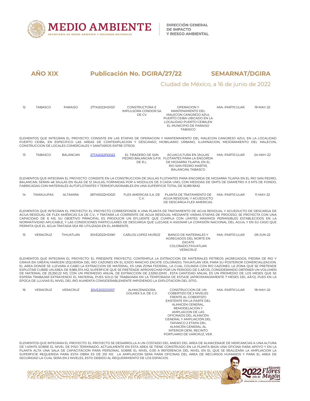

## Ciudad de México, a 16 de junio de 2022

| 12 | <b>TABASCO</b> | <b>PARAISO</b>  | 27TA2022HD021                                                 | <b>CONSTRUCTORA E</b><br>IMPULSORA CONDOR SA<br>DE CV                                              | OPERACION Y<br>MANTENIMIENTO DEL<br>MALECON CANGREJO AZUL<br>PUERTO CEIBA UBICADO EN LA<br>LOCALIDAD PUERTO CEIBA, EN<br>EL MUNICIPIO DE PARAISO<br><b>TABASCO</b>                                                                                                                                                                                                                                                                                                                                                                                                                                                                                                                                                                                                                                                                                            | MIA.-PARTICULAR | 19-MAY-22 |
|----|----------------|-----------------|---------------------------------------------------------------|----------------------------------------------------------------------------------------------------|---------------------------------------------------------------------------------------------------------------------------------------------------------------------------------------------------------------------------------------------------------------------------------------------------------------------------------------------------------------------------------------------------------------------------------------------------------------------------------------------------------------------------------------------------------------------------------------------------------------------------------------------------------------------------------------------------------------------------------------------------------------------------------------------------------------------------------------------------------------|-----------------|-----------|
|    |                |                 | CONSTRUCCION DE LOCALES COMERCIALES Y SANITARIOS ENTRE OTROS. |                                                                                                    | ELEMENTOS QUE INTEGRAN EL PROYECTO: CONSISTE EN LAS ETAPAS DE OPERACION Y MANTENIMIENTO DEL MALECON CANGREJO AZUL EN LA LOCALIDAD<br>PUERTO CEIBA, EN ESPECIFICO LAS AREAS DE CONTEMPLACION Y DESCANSO, MOBILIARIO URBANO, ILUMINACION, MEJORAMIENTO DEL MALECON,                                                                                                                                                                                                                                                                                                                                                                                                                                                                                                                                                                                             |                 |           |
| 13 | <b>TABASCO</b> | <b>BALANCAN</b> | 27TA2022PD022                                                 | EL TIRADERO DE SAN<br>DE R.L.                                                                      | ACUACULTURA EN JAULAS<br>PEDRO BALANCAN S.P.R. FLOTANTES PARA LA ENGORDA<br>DE MOJARRA TILAPIA, EN EL<br>RIO SAN PEDRO MARTIR,<br>BALANCAN, TABASCO                                                                                                                                                                                                                                                                                                                                                                                                                                                                                                                                                                                                                                                                                                           | MIA.-PARTICULAR | 24-MAY-22 |
|    |                |                 |                                                               | FABRICADAS CON MATERIALES AUTOFLOTANTES Y TERMOFUSIONABLES EN UNA SUPERFICIE TOTAL DE 16,189.16M2. | ELEMENTOS QUE INTEGRAN EL PROYECTO: CONSISTE EN LA CONSTRUCCION DE JAULAS FLOTANTES PARA ENGORDA DE MOJARRA TILAPIA EN EL RIO SAN PEDRO,<br>BALANCAN, SERAN 48 JAULAS EN ISLAS DE 12 JAULAS, FORMADAS POR 4 MODULOS DE 3 CADA UNO, CON MEDIDAS DE 12MTS DE DIAMETRO X 3 MTS DE FONDO,                                                                                                                                                                                                                                                                                                                                                                                                                                                                                                                                                                         |                 |           |
| 14 | TAMAULIPAS     | ALTAMIRA        | 28TM2022HD021                                                 | C.V.                                                                                               | FLEX AMERICAS S.A. DE PLANTA DE TRATAMIENTO DE<br>AGUA RESIDUAL Y ACUEDUCTO<br>DE DESCARGA FLEX AMERICAS.                                                                                                                                                                                                                                                                                                                                                                                                                                                                                                                                                                                                                                                                                                                                                     | MIA.-PARTICULAR | 11-MAY-22 |
|    |                |                 | PERMITA QUE EL AGUA TRATADA SEA RE-UTILIZADA EN EL AMBIENTE.  |                                                                                                    | ELEMENTOS QUE INTEGRAN EL PROYECTO: EL PROYECTO CORRESPONDE A UNA PLANTA DE TRATAMIENTO DE AGUA RESIDUAL Y ACUEDUCTO DE DESCARGA DE<br>AGUA RESIDUAL DE FLEX AMÉRICAS S.A DE C.V., Y TRATARÁ LA CORRIENTE DE AGUA RESIDUAL MEDIANTE VARIAS ETAPAS DE PROCESO, SE PROYECTA CON UNA<br>CAPACIDAD DE 6 M3, SU OBJETIVO PRINCIPAL ES PRODUCIR UN EFLUENTE QUE CUMPLA CON LÍMITES MÁXIMOS PERMISIBLES ESTABLECIDOS EN LA<br>NORMATIVIDAD APLICABLE, Y LAS CONDICIONES PARTICULARES DE DESCARGA QUE LLEGASE A ASIGNAR LA COMISIÓN NACIONAL DEL AGUA, Y EN SU CASO QUE                                                                                                                                                                                                                                                                                               |                 |           |
| 15 | VERACRUZ       | TIHUATLAN       | 30VE2022HD061                                                 | CARLOS LOPEZ MUÑOZ                                                                                 | <b>BANCO DE MATERIALES Y</b><br>AGREGADOS DEL NORTE EN<br>ZACATE<br>COLORADO, TIHUATLAN<br><b>VERACRUZ</b>                                                                                                                                                                                                                                                                                                                                                                                                                                                                                                                                                                                                                                                                                                                                                    | MIA.-PARTICULAR | 09-JUN-22 |
|    |                |                 |                                                               | EPOCA DE LLUVIAS EL NIVEL DEL RIO AUMENTA CONSIDERABLEMENTE IMPIDIENDO LA EXPLOTACION DEL SITIO.   | ELEMENTOS QUE INTEGRAN EL PROYECTO: EL PRESENTE PROYECTO, CONTEMPLA LA EXTRACCION DE MATERIALES PETREOS (AGREGADOS, PIEDRA DE RIO Y<br>GRAVA EN GREÃ'A) MARGEN IZQUIERDA DEL RIO CAZONES EN EL EJIDO RANCHO ZACATE COLORADO, TIHUATLAN VER, PARA SU POSTERIOR COMERCIALIZACION.<br>EL AREA DONDE SE LLEVARA A CABO LA EXTRACCION DE MATERIAL, ES UNA ZONA FEDERAL, LA CUAL COLINDA CON RIO CAZONES. LA ZONA QUE SE PRETENDE<br>EXPLOTAR CUBRE UN AREA DE 9,985.374 M2; SUPERFICIE QUE SE PRETENDE APROVECHAR POR UN PERIODO DE 5 AÃ'OS, CONSIDERANDO OBTENER UN VOLUMEN<br>DE MATERIAL DE 25,350.22 M3, CON UN PROMEDIO ANUAL DE EXTRACCION DE 2,5350.22M3, ESTA CANTIDAD ANUAL ES UN PROMEDIO DE LOS MESES QUE SE<br>ESPERA TRABAJAR EXTRAYENDO EL MATERIAL PUES SOLO SE TRABAJARA EN LA TEMPORADA DE ESTIAJE (APROXIMADAMENTE 7 MESES DEL AÃ'O), PUES EN LA |                 |           |
| 16 | VERACRUZ       | VERACRUZ        | 30VE2022ID057                                                 | ALMACENADORA<br>GOLMEX S.A. DE C.V.                                                                | <b>CONSTRUCCION DE UN</b><br>COBERTIZO DE 2 NIVELES<br>FRENTE AL COBERTIZO<br>EXISTENTE EN LA PARTE DEL<br>ALMACEN GENERAL,<br>REMODELACION Y<br>AMPLIACION DE LAS<br>OFICINADS DEL ALMACÉN<br>GENERAL Y AMPLIACIÓN DEL<br>TAPANCO 2 ETAPA DEL<br>ALMACÉN GENERAL AL<br><b>INTERIOR DERL RECINTO</b><br>PORTUARIO DE VARCRUZ, VER.                                                                                                                                                                                                                                                                                                                                                                                                                                                                                                                            | MIA.-PARTICULAR | 18-MAY-22 |
|    |                |                 |                                                               |                                                                                                    | ELEMENTOS QUE INTEGRAN EL PROYECTO: EL PROYECTO SE DESARROLLA A UN COSTADO DEL ANEXO DEL AREA DE ALMACENAJE DE MERCANCIAS A UNA ALTURA                                                                                                                                                                                                                                                                                                                                                                                                                                                                                                                                                                                                                                                                                                                        |                 |           |

ELEMENTOS QUE INTEGRAN EL PROYECTO: EL PROYECTO SE DESARROLLA A UN COSTADO DEL ANEXO DEL AREA DE ALMACENAJE DE MERCANCIAS A UNA ALTURA<br>DE 1.40MTS SOBRE EL NIVEL DE PISO TERMINADO. ACTUALMENTE EN ESTA AREA SE TIENE CONSTRUI SUPERFICIE REQUERIDA PARA ESTA OBRA ES DE 210 M2 . LA AMPLIACION SERA PARA OFICINAS DEL AREA DE RECURSOS HUMANOS Y PARA EL AREA DE SEGURIDAD LA CUAL SERA EN 2 NIVELES, ESTO DEBIDO AL REQUERIMIENTO DE LOS ESPACIOS.

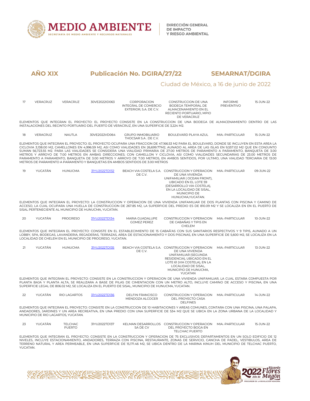

# Ciudad de México, a 16 de junio de 2022

| 17       | VERACRUZ                            | VERACRUZ                        | 30VE2022ID063                                             | CORPORACION<br>INTEGRAL DE COMERCIO<br>EXTERIOR, S.A. DE C.V.                                    | CONSTRUCCION DE UNA<br>BODEGA TEMPORAL DE<br>ALMACENAMIENTO EN EL<br>RECIENTO PORTUARIO, MPIO<br>DE VERACRUZ                                                                                                                                                                                                                                                                                                                                                                                                                                                                                                                                                                                                        | <b>INFORME</b><br>PREVENTIVO | 15-JUN-22 |
|----------|-------------------------------------|---------------------------------|-----------------------------------------------------------|--------------------------------------------------------------------------------------------------|---------------------------------------------------------------------------------------------------------------------------------------------------------------------------------------------------------------------------------------------------------------------------------------------------------------------------------------------------------------------------------------------------------------------------------------------------------------------------------------------------------------------------------------------------------------------------------------------------------------------------------------------------------------------------------------------------------------------|------------------------------|-----------|
|          |                                     |                                 |                                                           | INSTALACIONES DEL RECINTO PORTUARIO DEL PUERTO DE VERACRUZ, EN UNA SUPERFICIE DE 3,224 M2.       | ELEMENTOS QUE INTEGRAN EL PROYECTO: EL PROYECTO CONSISTE EN LA CONSTRUCCION DE UNA BODEGA DE ALMACENAMIENTO DENTRO DE LAS                                                                                                                                                                                                                                                                                                                                                                                                                                                                                                                                                                                           |                              |           |
| 18       | VERACRUZ                            | <b>NAUTLA</b>                   | 30VE2022VD064                                             | GRUPO INMOBILIARIO<br>THOCSAR S.A. DE C.V.                                                       | BOULEVARD PLAYA AZUL                                                                                                                                                                                                                                                                                                                                                                                                                                                                                                                                                                                                                                                                                                | MIA.-PARTICULAR              | 15-JUN-22 |
|          |                                     |                                 |                                                           | METROS DE PARAMENTO A PARAMENTO Y BANQUETAS EN AMBOS SENTIDOS DE 3.00 METROS                     | ELEMENTOS QUE INTEGRAN EL PROYECTO: EL PROYECTO OCUPARA UNA FRACCION DE 47,166.53 M2 PARA EL BOULEVARD, DONDE SE INCLUYEN EN ESTA AREA LA<br>CICLOVIA 3,138.00 M2, CAMELLONES EN 4,996.59 M2, ASI COMO VIALIDADES EN 26,699.77M2, AUNADO AL AREA DE LAS ISLAS EN 9,557.02 M2 QUE EN CONJUNTO<br>SUMAN 56,723.55 M2. PARA LAS VIALIDADES SE CONSIDERA UNA VIALIDAD PRIMARIA DE 27.00 METROS DE PARAMENTO A PARAMENTO, BANQUETA DE 3.00<br>METROS Y ARROYO DE 7.00 METROS EN AMBAS DIRECCIONES; CON CAMELLON Y CICLOVIA, ASI COMO VIALIDADES SECUNDARIAS DE 23.00 METROS DE<br>PARAMENTO A PARAMENTO, BANQUETA DE 3.00 METROS Y ARROYO DE 7.00 METROS, EN AMBOS SENTIDOS, POR ULTIMO, UNA VIALIDAD TERCIARIA DE 13.00 |                              |           |
| 19       | YUCATÁN                             | <b>HUNUCMA</b>                  | 31YU2022TD132                                             | DE C.V.                                                                                          | BEACH VIA COSTELA S.A. CONSTRUCCION Y OPERACION MIA .- PARTICULAR<br>DE UNA VIVIENDA<br>UNIFAMILIAR (OCEAN FRONT),<br>UBICADO EN EL LOTE 59<br>(DESARROLLO VIA COSTELA),<br>EN LA LOCALIDAD DE SISAL,<br>MUNICIPIO DE<br>HUNUCMA, YUCATAN.                                                                                                                                                                                                                                                                                                                                                                                                                                                                          |                              | 09-JUN-22 |
|          |                                     |                                 | SISAL PERTENECIENTE AL MUNICIPIO DE HUNUCMA, YUCATAN.     |                                                                                                  | ELEMENTOS QUE INTEGRAN EL PROYECTO: LA CONSTRUCCION Y OPERACION DE UNA VIVIENDA UNIFAMILIAR DE DOS PLANTAS CON PISCINA Y CAMINO DE<br>ACCESO, LA CUAL OCUPARA UNA HUELLA DE CONSTRUCCION DE 267.85 M2, LA SUPERFICIE DEL PREDIO ES DE 810.09 M2 Y SE LOCALIZA EN EN EL PUERTO DE                                                                                                                                                                                                                                                                                                                                                                                                                                    |                              |           |
| 20       | YUCATÁN                             | <b>PROGRESO</b>                 | 31YU2022TD134                                             | MARIA GUADALUPE<br><b>GOMEZ PEREZ</b>                                                            | CONSTRUCCION Y OPERACION<br>DE CABAÑAS Y TIPIS EN<br>CHELEM                                                                                                                                                                                                                                                                                                                                                                                                                                                                                                                                                                                                                                                         | MIA.-PARTICULAR              | 10-JUN-22 |
|          |                                     |                                 | LOCALIDAD DE CHELEM EN EL MUNICIPIO DE PROGRESO, YUCATAN. |                                                                                                  | ELEMENTOS QUE INTEGRAN EL PROYECTO: CONSISTE EN EL ESTABLECIMIENTO DE 15 CABAÃ'AS CON SUS SANITARIOS RESPECTIVOS Y 9 TIPIS, AUNADO A UN<br>LOBBY, SPA, BODEGAS, LAVANDERIA, REGADERAS, TERRAZAS, AREA DE ESTACIONAMIENTO Y DOS PISCINAS, EN UNA SUPERFICIE DE 5,600 M2, SE LOCALIZA EN LA                                                                                                                                                                                                                                                                                                                                                                                                                           |                              |           |
| 21       | YUCATÁN                             | <b>HUNUCMA</b>                  | 31YU2022TD135                                             | DE C.V.                                                                                          | BEACH VIA COSTELA S.A. CONSTRUCCION Y OPERACION MIA.-PARTICULAR<br>DE UNA VIVIENDA<br>UNIFAMILIAR (SEGUNDA<br>RESIDENCIA), UBICADO EN EL<br>LOTE 61 (VIA COSTELA), EN LA<br>LOCALIDAD DE SISAL,<br>MUNICIPIO DE HUNUCMA,<br><b>YUCATAN</b>                                                                                                                                                                                                                                                                                                                                                                                                                                                                          |                              | 13-JUN-22 |
|          |                                     |                                 |                                                           | SUPERFICIE LEGAL DE 806.02 M2, SE LOCALIZA EN EL PUERTO DE SISAL, MUNICIPIO DE HUNUCMA, YUCATAN. | ELEMENTOS QUE INTEGRAN EL PROYECTO: CONSISTE EN LA CONSTRUCCION Y OPERACION DE UNA VIVIENDA UNIFAMILIAR, LA CUAL ESTARA COMPUESTA POR<br>PLANTA BAJA Y PLANTA ALTA, SE REALIZARA A BASE DE PILAS DE CIMENTACION CON UN METRO ALTO, INCLUYE CAMINO DE ACCESO Y PISCINA, EN UNA                                                                                                                                                                                                                                                                                                                                                                                                                                       |                              |           |
| 22       | YUCATÁN                             | RIO LAGARTOS                    | 31YU2022TD136                                             | <b>DELFIN FRANCISCO</b><br>MENDOZA ALCOCER                                                       | CONSTRUCCION Y OPERACION<br>DEL PROYECTO CASA<br><b>DELFINES</b>                                                                                                                                                                                                                                                                                                                                                                                                                                                                                                                                                                                                                                                    | MIA.-PARTICULAR              | 14-JUN-22 |
|          | MUNICIPIO DE RIO LAGARTOS, YUCATAN. |                                 |                                                           |                                                                                                  | ELEMENTOS QUE INTEGRAN EL PROYECTO: CONSISTE EN LA CONSTRUCCION DE 10 HABITACIONES Y AREAS COMUNES, CONTARA CON UNA PISCINA, UNA PALAPA,<br>ANDADORES, JARDINES Y UN AREA RECREATIVA, EN UNA PREDIO CON UNA SUPERFICIE DE 534 M2 QUE SE UBICA EN LA ZONA URBANA DE LA LOCALIDAD Y                                                                                                                                                                                                                                                                                                                                                                                                                                   |                              |           |
| 23       | YUCATÁN                             | <b>TELCHAC</b><br><b>PUERTO</b> | 31YU2022TD137                                             | SA DE CV                                                                                         | KELMAN DESARROLLOS CONSTRUCCION Y OPERACION MIA.-PARTICULAR<br>DEL PROYECTO BOGA EN<br>TELCHAC PUERTO                                                                                                                                                                                                                                                                                                                                                                                                                                                                                                                                                                                                               |                              | 15-JUN-22 |
| YUCATAN. |                                     |                                 |                                                           |                                                                                                  | ELEMENTOS QUE INTEGRAN EL PROYECTO: CONSISTE EN LA CONSTRUCCION Y OPERACION DE 75 EXCLUSIVOS DEPARTAMENTOS EN UN SOLO EDIFICIO DE 12<br>NIVELES, INCLUYE ESTACIONAMIENTO, ANDADORES, TERRAZA CON PISCINA, RESTAURANTE, ZONAS DE SERVICIO, CANCHA DE PADEL, VESTIBULOS, AREA DE<br>TERRENO NATURAL Y AREA PERMEABLE, EN UNA SUPERFICIE DE 15,171.46 M2, SE UBICA DENTRO DE LA MARINA KINUH DEL MUNICIPIO DE TELCHAC PUERTO,                                                                                                                                                                                                                                                                                          |                              |           |
|          |                                     |                                 |                                                           |                                                                                                  |                                                                                                                                                                                                                                                                                                                                                                                                                                                                                                                                                                                                                                                                                                                     |                              |           |

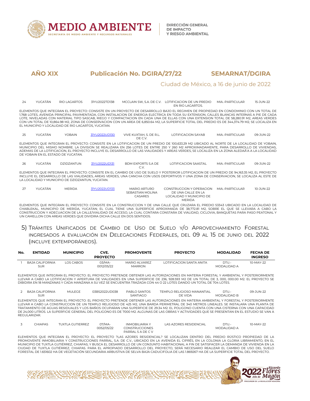

## Ciudad de México, a 16 de junio de 2022

24 YUCATÁN RIO LAGARTOS 31YU2022TD138 MCCLAIN SW, S.A. DE C.V. LOTIFICACION DE UN PREDIO EN RIO LAGARTOS. MIA.-PARTICULAR 15-JUN-22 ELEMENTOS QUE INTEGRAN EL PROYECTO: CONSISTE EN UN PROYECTO DE DESARROLLO BAJO EL REGIMEN DE PROPIEDAD EN CONDOMINIO CON UN TOTAL DE

1,768 LOTES, AVENIDA PRINCIPAL PAVIMENTADA, CON INSTALACION DE ENERGIA ELECTRICA EN TODA SU EXTENSION, CALLES BLANCAS INTERNAS A PIE DE CADA LOTE, NIVELADAS CON MATERIAL TIPO SASCAB, RIEGO Y COMPACTACION EN CADA UNA DE ELLAS CON UNA EXTENSION TOTAL DE 58,280.91 M2, AREAS VERDES<br>CON UN TOTAL DE 10,864.98 M2, ZONA DE CONSERVACION CON UN AREA DE 6,850.64 M2, LA SU EL MUNICIPIO Y LOCALIDAD DE RIO LAGARTOS, YUCATAN.

25 YUCATÁN YOBAIN 3<u>1YU2022UD130</u> VIVE KUXTAH, S. DE R.L. LOTIFICACION SAYAB<br>DE C V XTAH, S. DE R.L. LOTIFICACION SAYAB MIA.-PARTICULAR 09-JUN-22<br>DE C.V.

ELEMENTOS QUE INTEGRAN EL PROYECTO: CONSISTE EN LA LOTIFICACION DE UN PREDIO DE 100,633.29 M2 UBICADO AL NORTE DE LA LOCALIDAD DE YOBAIN, MUNICIPIO DEL MISMO NOMBRE. LA DIVISION SE REALIZARA EN 256 LOTES DE ENTRE 250 Y 260 M2 APROXIMADAMENTE, PARA DESARROLLO DE VIVIENDAS, ADEMAS DE LA LOTIFICACION, EL PROYECTO INCLUYE ELDESARROLLO DE LAS VIALIDADES Y AREAS VERDES, SE LOCALIZA EN LA ZONA ALEDAÑA A LA LOCALIDAD DE YOBAIN EN EL ESTADO DE YUCATAN.

| 26 | ′UCATÁN | DZIDZANTUN | 31YU2022UD131 | <b>BDM EXPORTS S.A DE</b> | LOTIFICACION SAASTAL | MIA.-PARTICULAR | 09-JUN-22 |
|----|---------|------------|---------------|---------------------------|----------------------|-----------------|-----------|
|    |         |            |               | $\sim$                    |                      |                 |           |

ELEMENTOS QUE INTEGRAN EL PROYECTO: CONSISTE EN EL CAMBIO DE USO DE SUELO Y POSTERIOR LOTIFICACION DE UN PREDIO DE 94,163.35 M2, EL PROYECTO INCLUYE ELDESARROLLO DE LAS VIALIDADES, AREAS VERDES, UNA CANCHA CON USOS DEPORTIVOS Y UNA ZONA DE CONSERVACION, SE LOCALIZA AL ESTE DE LA LOCALIDAD Y MUNICIPIO DE DZIDZANTUN, YUCATAN.

| YUCATÁN | <b>MERIDA</b> | 31YU2022UD133 | MARIO ARTURO<br>SFBASTIAN MOLINA | CONSTRUCCION Y OPERACION MIA.-PARTICULAR<br>DE UNA CALLE EN LA | 10-JUN-22 |
|---------|---------------|---------------|----------------------------------|----------------------------------------------------------------|-----------|
|         |               |               | CASARES                          | LOCALIDAD Y MUNICIPIO DE                                       |           |
|         |               |               |                                  | <b>MERIDA</b>                                                  |           |

ELEMENTOS QUE INTEGRAN EL PROYECTO: CONSISTE EN LA CONSTRUCCION Y DE UNA CALLE QUE CRUZARA EL PREDIO 53343 UBICADO EN LA LOCALIDAD DE CHABLEKAL, MUNICIPIO DE MERIDA, YUCATAN; EL CUAL TIENE UNA SUPERFICIE APROXIMADA DE 38,772.81 M2, SOBRE EL QUE SE LLEVARA A CABO LA CONSTRUCCION Y ADECUACION DE LA CALLE/VIALIDAD DE ACCESO, LA CUAL CONTARA CONSTARA DE VIALIDAD, CICLOVIA, BANQUETAS PARA PASO PEATONAL Y UN CAMELLON CON AREAS VERDES QUE DIVIDIRA DICHA CALLE EN DOS SENTIDOS.

## 5) TRÁMITES UNIFICADOS DE CAMBIO DE USO DE SUELO Y/O APROVECHAMIENTO FORESTAL INGRESADOS A EVALUACIÓN EN DELEGACIONES FEDERALES, DEL 09 AL 15 DE JUNIO DEL 2022 (INCLUYE EXTEMPORÁNEOS).

| No. | <b>ENTIDAD</b>         | <b>MUNICIPIO</b> | CVE.<br><b>PROYECTO</b> | <b>PROMOVENTE</b>                     | <b>PROYECTO</b>           | <b>MODALIDAD</b>     | <b>FECHA DE</b><br><b>INGRESO</b> |
|-----|------------------------|------------------|-------------------------|---------------------------------------|---------------------------|----------------------|-----------------------------------|
|     | BAJA CALIFORNIA<br>SUR | LOS CABOS        | 03/MA-<br>0012/05/22    | <b>MARIO ALVAREZ</b><br><b>MARRON</b> | I OTIFICACION SANTA ANITA | DTU.-<br>MODALIDAD A | 10-MAY-22                         |

ELEMENTOS QUE INTEGRAN EL PROYECTO: EL PROYECTO PRETENDE OBTENER LAS AUTORIZACIONES EN MATERIA FORESTAL Y AMBIENTAL Y POSTERIORMENTE LLEVAR A CABO LA LOTIFICACION Y APERTURA DE VIALIDADES EN UNA SUPERFICIE DE 236, 928.593 M2 DE UN TOTAL DE 3, 000, 000.00 M2. EL PROYECTO SE DIBIDIRA EN 18 MANZANAS Y CADA MANZANA A SU VEZ SE ENCUENTRA TRAZADA CON 44 O 22 LOTES DANDO UN TOTAL DE 704 LOTES.

| BAJA CALIFORNIA | <b>MULEGE</b> | 03BS2022UD038 | PABLO SANTOS | TEMPLO RELIGIOSO MANANTIAL | DTU.               | 09-JUN-22 |
|-----------------|---------------|---------------|--------------|----------------------------|--------------------|-----------|
| <b>SUR</b>      |               |               | SANTIAGC     | ㄱF VIDA                    | <b>MODALIDAD B</b> |           |

ELEMENTOS QUE INTEGRAN EL PROYECTO: EL PROYECTO PRETENDE OBTENER LAS AUTORIZACIONES EN MATERIA AMBIENTAL Y FORESTAL Y POSTERIORMENTE LLEVAR A CABO LA CONSTRUCCION DE UN TEMPLO RELIGIOSO DE 425 M2, UNA BARDA PERIMETRAL DE 340 METROS LINEALES. SE INSTALARA UNA PLANTA DE TRATAMIENTO DE AGUAS RESIDUALES Y LOS BAÑOS OCUPARAN UNA SUPERFICIE DE 29.34 M2. EL POLIGONO CUENTA CON UNA CISTERNA CON UNA CAPACIDAD DE 24,000 LITROS. LA SUPERFICIE GENERAL DEL POLIGONO ES DE 7000 M2. ALGUNAS DE LAS OBRAS Y ACTIVIDADES QUE SE PRESENTAN EN EL ESTUDIO SE VAN A REGULARIZAR.

| ັ | <b>CHIAPAS</b> | TUXTI A GUTIFRRFZ. | 07/MA-     | <b>INMOBILIARIA Y</b> | LAS AZORES RESIDENCIAL | DTU.        | 10-MAY-22 |  |
|---|----------------|--------------------|------------|-----------------------|------------------------|-------------|-----------|--|
|   |                |                    | 0052/05/22 | <b>CONSTRUCCIONES</b> |                        | MODALIDAD A |           |  |
|   |                |                    |            | PARRAIS A DECV        |                        |             |           |  |

ELEMENTOS QUE INTEGRAN EL PROYECTO: EL PROYECTO ?LAS AZORES RESIDENCIAL? SE LOCALIZAN DENTRO DEL PREDIO RÚSTICO PROPIEDAD DE LA PROMOVENTE INMOBILIARIA Y CONSTRUCCIONES PARRAL, S.A. DE C.V., UBICADO EN LAAVENIDA EL CIPRÉS, EN LACOLONIA LA GLORIA LIBRAMIENTO, EN EL MUNICIPIO DE TUXTLA GUTIÉRREZ, CHIAPAS; Y BUSCA EL DESARROLLO DE UN CONJUNTO HABITACIONAL A FIN DE SATISFACER LA DEMANDA DE VIVIENDA EN LA CIUDAD DE TUXTLA GUTIÉRREZ, CHIAPAS. PARA EL APROPIADO DESARROLLO DEL PROYECTO, SERÁ NECESARIO REALIZAR EL CAMBIO DE USO DEL SUELO FORESTAL DE 1.651602 HA DE VEGETACIÓN SECUNDARIA ARBUSTIVA DE SELVA BAJA CADUCIFOLIA DE LAS 1.869267 HA DE LA SUPERFICIE TOTAL DEL PROYECTO.

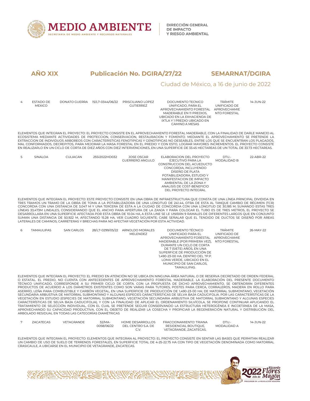

**DIRECCIÓN GENERAL DE IMPACTO Y RIESGO AMBIENTAL** 

# **AÑO XIX Publicación No. DGIRA/27/22 SEMARNAT/DGIRA** Ciudad de México, a 16 de junio de 2022

| 4 | <b>FSTADO DE</b> | DONATO GUERRA | 15/L7-0344/06/22 | PRISCILIANO LOPEZ | DOCUMENTO TECNICO                                                                                                                             | <b>TRÁMITE</b>      | 14-JUN-22 |  |
|---|------------------|---------------|------------------|-------------------|-----------------------------------------------------------------------------------------------------------------------------------------------|---------------------|-----------|--|
|   | <b>MEXICO</b>    |               |                  | <b>GUTIERREZ</b>  | UNIFICADO. PARA EL                                                                                                                            | UNIFICADO DE        |           |  |
|   |                  |               |                  |                   | APROVECHAMIENTO FORESTAL                                                                                                                      | <b>APROVECHAMIE</b> |           |  |
|   |                  |               |                  |                   | MADERABLE EN 11 PREDIOS.                                                                                                                      | NTO FORESTAL        |           |  |
|   |                  |               |                  |                   | UBICADO EN LA EXHACIENDA DE                                                                                                                   |                     |           |  |
|   |                  |               |                  |                   | IXTI A Y 1 PREDIO UBICADO EN                                                                                                                  |                     |           |  |
|   |                  |               |                  |                   | CAMINO A MESAS                                                                                                                                |                     |           |  |
|   |                  |               |                  |                   |                                                                                                                                               |                     |           |  |
|   |                  |               |                  |                   | ELEMENTOS QUE INTEGRAN EL PROYECTO: EL PROYECTO CONSISTE EN EL APROVECHAMIENTO FORESTAL MADERABLE. CON LA FINALIDAD DE DARLE MANEJO AL        |                     |           |  |
|   |                  |               |                  |                   | ECOSISTEMA MEDIANTE ACTIVIDADES DE PROTECCION, CONSERVACION, RESTAURACION Y FOMENTO, MEDIANTE EL APROVECHAMIENTO SE PRETENDE LA               |                     |           |  |
|   |                  |               |                  |                   | EXTRACCION DE INDIVIDUOS ARBOREOS CON CARACTERISTICAS FENOTIPICAS Y GENOTIPICAS NO DESEABLES. ENTRE LOS OUE SE ENCUENTRAN LOS PLAGADOS.       |                     |           |  |
|   |                  |               |                  |                   | MAL CONFORMADOS, DECREPITOS, PARA MEJORAR LA MASA FORESTAL EN EL PREDIO Y CON ESTO, LOGRAR MAYORES INCREMENTOS, EL PROYECTO CONSISTE          |                     |           |  |
|   |                  |               |                  |                   | EN REALIZARLO EN UN CICLO DE CORTA DE DIEZ AÑOS CON DIEZ INTERVENCIONES, EN UNA SUPERFICIE DE 33.45 HECTAREAS DE UN TOTAL DE 33.73 HECTAREAS. |                     |           |  |
|   |                  |               |                  |                   |                                                                                                                                               |                     |           |  |
|   | SINAI OA         | CUI IACAN     | 25SI2022HD032    | JOSE OSCAR        | FI ABORACION DEL PROYECTO                                                                                                                     | DTU.-               | 22-ABR-22 |  |
|   |                  |               |                  | GUERRERO ANGULO   | <b>FJECUTIVO PARA LA</b>                                                                                                                      | MODAI IDAD B        |           |  |

| <b>GUERRERO ANGULO</b> | EJECUTIVO PARA LA<br>CONSTRUCCION DEL ACUEDUCTO<br>CONCORDIA, INCLUYENDO<br>DISEÑO DE PLATA<br>POTABILIZADORA, ESTUDIO Y | MODALIDAD B |
|------------------------|--------------------------------------------------------------------------------------------------------------------------|-------------|
|                        | AMBIFNTAL DE LA ZONA Y<br>ANALISIS DE COST-BENEFICIO<br>DEL PROYECTO INTEGRAL                                            |             |

ELEMENTOS QUE INTEGRAN EL PROYECTO: ESTE PROYECTO CONSISTE EN UNA OBRA DE INFRAESTRUCTURA QUE CONSTA DE UNA LÍNEA PRINCIPAL DIVIDIDA EN TRES TRAMOS UN TRAMO DE LA OBRA DE TOMA A LA POTABILIZADORA DE UNA LONGITUD DE 241.44, OTRA DE ESTA AL TANQUE CAMBIO DE RÉGIMEN (TCR) CONCORDIA CON UNA DISTANCIA DE 3,047 M Y UNA TERCERA DE ESTA A LA CIUDAD DE CONCORDIA CON UNA LONGITUD DE 30,185 M; SUMANDO ESTAS TRES LÍNEAS 33,473M LINEALES, CONSIDERANDO QUE EL ANCHO PARA APERTURA DE LA ZANJA Y PARA COLOCAR EL TUBO ES DE TRES METROS, EL PROYECTO SE DESARROLLARA EN UNA SUPERFICIE AFECTADA POR ESTA OBRA DE 10.04 HA, A ESTA LINE SE LE UNIRÁN 9 RAMALES DE DIFERENTES LARGOS QUE EN CONJUNTO SUMAN UNA DISTANCIA DE 50,922 M, AFECTANDO 15.28 HA, VER CUADRO SIGUIENTE; CABE SEÑALAR QUE EL TENDIDO DE DUCTOS SE DISEÑÓ POR ÁREAS LATERALES DE CAMINOS, CARRETERAS Y BRECHAS PARA NO AFECTAR VEGETACIÓN POR ESTA ACTIVIDAD.

| 6 | <b>TAMAULIPAS</b> | <b>SAN CARLOS</b> | 28/L7-0299/05/22 | ARNOLDO MORALES<br>MELENDEZ | DOCUMENTO TÉCNICO<br>UNIFICADO PARA EL<br>APROVECHAMIENTO FORESTAL<br>MADERABLE (POR PRIMERA VEZ),<br>DURANTE UN CICLO DE CORTA<br>DE 7 (SIETE) AÑOS, EN UNA<br>SUPERFICIE DE PRODUCCIÓN DE<br>1.490-23-00 HA, DENTRO DEL ?P.P.<br>LOMA VERDE, UBICADO EN EL<br>MUNICIPIO DE SAN CARLOS. | <b>TRÁMITE</b><br>UNIFICADO DE<br>APROVECHAMIE<br>NTO FORESTAL | 26-MAY-22 |  |
|---|-------------------|-------------------|------------------|-----------------------------|------------------------------------------------------------------------------------------------------------------------------------------------------------------------------------------------------------------------------------------------------------------------------------------|----------------------------------------------------------------|-----------|--|
|   |                   |                   |                  |                             | TAMAULIPAS.                                                                                                                                                                                                                                                                              |                                                                |           |  |

ELEMENTOS QUE INTEGRAN EL PROYECTO: EL PREDIO EN ATENCIÓN NO SE UBICA EN NINGUNA ÁREA NATURAL O DE RESERVA DECRETADO DE ORDEN FEDERAL O ESTATAL. EL PREDIO, NO CUENTA CON ANTECEDENTES DE APROVECHAMIENTO FORESTAL MADERABLE. LA ELABORACIÓN DEL PRESENTE DOCUMENTO TÉCNICO UNIFICADO, CORRESPONDE A SU PRIMER CICLO DE CORTA. CON LA PROPUESTA DE DICHO APROVECHAMIENTO, SE OBTENDRÁN DIFERENTES PRODUCTOS DE ACUERDO A LOS DIÁMETROS EXISTENTES COMO SON VARAS PARA TUTORES, POSTES PARA CERCA, CORRALEROS, MADERA EN ROLLO PARA ASERRÍO, LEÑA PARA COMBUSTIBLE Y CARBÓN VEGETAL, EN UNA SUPERFICIE DE PRODUCCIÓN DE 1,490-23-00 HA; DE MATORRAL SUBMONTANO, VEGETACIÓN SECUNDARIA ARBUSTIVA DE MATORRAL SUBMONTANO Y ALGUNAS ESPECIES CARACTERÍSTICAS DE SELVA BAJA CADUCIFOLIA. POR LAS CARACTERÍSTICAS DE LA VEGETACIÓN EN ESTUDIO (ESPECIES DE MATORRAL SUBMONTANO, VEGETACIÓN SECUNDARIA ARBUSTIVA DE MATORRAL SUBMONTANO Y ALGUNAS ESPECIES CARACTERÍSTICAS DE SELVA BAJA CADUCIFOLIA), Y CON LAFINALIDAD DE APLICAR EL ORDENAMIENTO SILVÍCOLA, SE PROPONE CONTINUAR APLICANDO EL TRATAMIENTO DE SELECCIÓN INDIVIDUAL, CON EL CUAL SE PRETENDE SEGUIR CONSERVANDO LA ESTRUCTURA HETEROGÉNEA E INCOETÁNEA DE LA MASA, APROVECHANDO SU CAPACIDAD PRODUCTIVA, CON EL OBJETO DE REALIZAR LA COSECHA Y PROPICIAR LA REGENERACIÓN NATURAL Y DISTRIBUCIÓN DEL ARBOLADO RESIDUAL EN TODAS LAS CATEGORÍAS DIAMÉTRICAS

| <b>ZACATECAS</b> | VFTAGRANDE | 32/MA-<br>0058/06/22 | HOME DESARROLLOS<br>DEL CENTRO S.A. DE | FRACCIONAMIFNTO: TRIANA<br>RESIDENCIAL BOUTIOUE. | DTU.-<br>MODALIDAD A | 14-JUN-22 |
|------------------|------------|----------------------|----------------------------------------|--------------------------------------------------|----------------------|-----------|
|                  |            |                      |                                        | VETAGRANDE, ZACATECAS.                           |                      |           |

ELEMENTOS QUE INTEGRAN EL PROYECTO: ELEMENTOS QUE INTEGRAN AL PROYECTO: EL PROYECTO CONSISTE EN SENTAR LAS BASES QUE PERMITAN REALIZAR UN CAMBIO DE USO DE SUELO DE TERRENOS FORESTALES, EN SUPERFICIE TOTAL DE 4-25-22.75 HA CON TIPO DE VEGETACIÓN DENOMINADA COMO MATORRAL CRASICAULE, A UBICARSE EN EL MUNICIPIO DE VETAGRANDE, ZACATECAS.

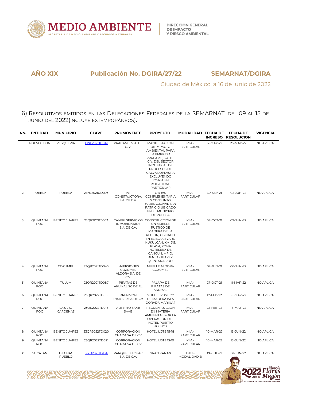

Ciudad de México, a 16 de junio de 2022

6) RESOLUTIVOS EMITIDOS EN LAS DELEGACIONES FEDERALES DE LA SEMARNAT, DEL 09 AL 15 DE JUNIO DEL 2022(INCLUYE EXTEMPORÁNEOS).

| No.            | <b>ENTIDAD</b>                | <b>MUNICIPIO</b>         | <b>CLAVE</b>  | <b>PROMOVENTE</b>                                       | <b>PROYECTO</b>                                                                                                                                                                                                           | MODALIDAD FECHA DE         | <b>INGRESO</b> | <b>FECHA DE</b><br><b>RESOLUCION</b> | <b>VIGENCIA</b>  |
|----------------|-------------------------------|--------------------------|---------------|---------------------------------------------------------|---------------------------------------------------------------------------------------------------------------------------------------------------------------------------------------------------------------------------|----------------------------|----------------|--------------------------------------|------------------|
| $\mathbf{1}$   | NUEVO LEON                    | PESQUERIA                | 19NL2022ID041 | PRACAME, S. A. DE<br>C. V.                              | MANIFESTACION<br>DE IMPACTO<br>AMBIENTAL PARA<br>LA EMPRESA<br>PRACAME, S.A. DE<br>C.V. DEL SECTOR<br><b>INDUSTRIAL DE</b><br>PROCESOS DE<br>GALVANOPLASTIA<br>EXCLUYENDO<br>JOYRIA EN<br>MODALIDAD<br><b>PARTICULAR</b>  | MIA.-<br>PARTICULAR        | 17-MAY-22      | 25-MAY-22                            | NO APLICA        |
| $\mathcal{P}$  | PUEBLA                        | PUEBLA                   | 21PU2021UD093 | <b>IVI</b><br>CONSTRUCTORA,<br>S.A. DE C.V.             | OBRAS<br>COMPLEMENTARIA<br>S CONJUNTO<br><b>HABITACIONAL SAN</b><br>PATRICIO UBICADO<br>EN EL MUNICPIO<br>DE PUEBLA                                                                                                       | $MIA -$<br>PARTICULAR      | 30-SEP-21      | 02-JUN-22                            | NO APLICA        |
| 3              | QUINTANA<br><b>ROO</b>        | <b>BENITO JUAREZ</b>     | 23QR2021T0063 | <b>INMOBILIARIOS</b><br>S.A. DE C.V.                    | CAVERI SERVICIOS CONSTRUCCION DE<br>UN MUELLE<br>RUSTICO DE<br>MADERA DE LA<br>REGION, UBICADO<br>EN EL BOULEVARD<br>KUKULCAN, KM. 3.5,<br>PLAYA, ZONA<br>HOTELERA DE<br>CANCUN, MPIO.<br>BENITO JUAREZ,<br>QUINTANA ROO. | MIA-<br>PARTICULAR         | 07-OCT-21      | 09-JUN-22                            | NO APLICA        |
| $\overline{4}$ | QUINTANA<br><b>ROO</b>        | COZUMEL                  | 23QR2021TD045 | <b>INVERSIONES</b><br>COZUMEL<br>ALDORA S.A. DE<br>C.V. | MUELLE ALDORA<br>COZUMEL                                                                                                                                                                                                  | MIA.-<br><b>PARTICULAR</b> | 02-JUN-21      | 06-JUN-22                            | NO APLICA        |
| 5              | <b>OUINTANA</b><br><b>ROO</b> | <b>TULUM</b>             | 23QR2021TD087 | PIRATAS DE<br>AKUMAL SC DE RL                           | PALAPA DE<br>PIRATAS DE<br>AKUMAL                                                                                                                                                                                         | MIA.-<br>PARTICULAR        | 27-OCT-21      | 11-MAR-22                            | <b>NO APLICA</b> |
| 6              | QUINTANA<br><b>ROO</b>        | <b>BENITO JUAREZ</b>     | 23QR2022TD013 | <b>BRENMON</b><br>INMYSER SA DE CV                      | MUELLE RUSTICO<br>DE MADERA ISLA<br>DORADA MARINA 1                                                                                                                                                                       | MIA -<br><b>PARTICULAR</b> | 17-FEB-22      | 18-MAY-22                            | NO APLICA        |
| 7              | QUINTANA<br><b>ROO</b>        | LAZARO<br>CARDENAS       | 23QR2022TD015 | ALBERTO SAAB<br>SAAB                                    | REGULARIZACION<br>EN MATERIA<br>AMBIENTAL POR LA<br>OPERACION DEL<br><b>HOTEL PUERTO</b><br><b>HOLBOX</b>                                                                                                                 | MIA -<br><b>PARTICULAR</b> | 22-FEB-22      | 18-MAY-22                            | NO APLICA        |
| 8              | QUINTANA<br><b>ROO</b>        | <b>BENITO JUAREZ</b>     | 23QR2022TD020 | CORPORACION<br>CHADA SA DE CV                           | HOTEL LOTE 15-18                                                                                                                                                                                                          | MIA.-<br>PARTICULAR        | 10-MAR-22      | 13-JUN-22                            | NO APLICA        |
| 9              | QUINTANA<br><b>ROO</b>        | <b>BENITO JUAREZ</b>     | 23QR2022TD021 | CORPORACION<br>CHADA SA DE CV                           | HOTEL LOTE 15-19                                                                                                                                                                                                          | MIA.-<br><b>PARTICULAR</b> | 10-MAR-22      | 13-JUN-22                            | NO APLICA        |
| 10             | YUCATÁN                       | <b>TELCHAC</b><br>PUEBLO | 31YU2021TD134 | PARQUE TELCHAC<br>S.A. DE C.V.                          | <b>GRAN KANAN</b>                                                                                                                                                                                                         | DTU.-<br>MODALIDAD B       | 06-JUL-21      | 01-JUN-22<br>麻原                      | NO APLICA<br>R   |

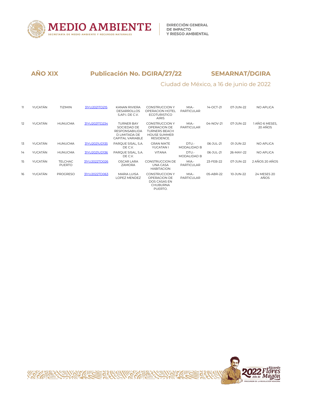

# Ciudad de México, a 16 de junio de 2022

| 11 | YUCATÁN | <b>TIZIMIN</b>                  | 31YU2021TD215 | KANAN RIVIERA<br><b>DESARROLLOS</b><br>S.AP.I. DE C.V.                                         | <b>CONSTRUCCION Y</b><br><b>OPERACION HOTEL</b><br><b>ECOTURISTICO</b><br><b>AIRIS</b>             | MIA.-<br>PARTICULAR         | 14-OCT-21 | 07-JUN-22 | NO APLICA                 |
|----|---------|---------------------------------|---------------|------------------------------------------------------------------------------------------------|----------------------------------------------------------------------------------------------------|-----------------------------|-----------|-----------|---------------------------|
| 12 | YUCATÁN | <b>HUNUCMA</b>                  | 31YU2021TD234 | <b>TURNER BAY</b><br>SOCIEDAD DE<br><b>RESPONSABILIDA</b><br>D LIMITADA DE<br>CAPITAL VARIABLE | <b>CONSTRUCCION Y</b><br>OPERACION DE<br><b>TURNERS BEACH</b><br><b>HOUSE SUMMER</b><br>RESIDENCE. | MIA.-<br>PARTICULAR         | 04-NOV-21 | 07-JUN-22 | 1 AÑO 6 MESES.<br>20 AÑOS |
| 13 | YUCATÁN | <b>HUNUCMA</b>                  | 31YU2021UD135 | PARQUE SISAL, S.A.<br>DE C.V.                                                                  | <b>GRAN NIKTE</b><br>YUCATAN I                                                                     | DTU.-<br><b>MODALIDAD B</b> | 06-JUL-21 | 01-JUN-22 | <b>NO APLICA</b>          |
| 14 | YUCATÁN | <b>HUNUCMA</b>                  | 31YU2021UD136 | PARQUE SISAL, S.A.<br>DE C.V.                                                                  | <b>VITANA</b>                                                                                      | DTU.-<br><b>MODALIDAD B</b> | 06-JUL-21 | 26-MAY-22 | <b>NO APLICA</b>          |
| 15 | YUCATÁN | <b>TELCHAC</b><br><b>PUERTO</b> | 31YU2022TD026 | OSCAR LARA<br><b>ZAMORA</b>                                                                    | <b>CONSTRUCCION DE</b><br>UNA CASA<br><b>HABITACION</b>                                            | MIA.-<br>PARTICULAR         | 23-FEB-22 | 07-JUN-22 | 2 AÑOS 20 AÑOS            |
| 16 | YUCATÁN | <b>PROGRESO</b>                 | 31YU2022TD063 | <b>MARIA LUISA</b><br>LOPEZ MENDEZ                                                             | <b>CONSTRUCCION Y</b><br>OPERACION DE<br>DOS CASAS EN<br><b>CHUBURNA</b><br>PUERTO.                | MIA.-<br>PARTICULAR         | 05-ABR-22 | 10-JUN-22 | 24 MESES 20<br>AÑOS       |

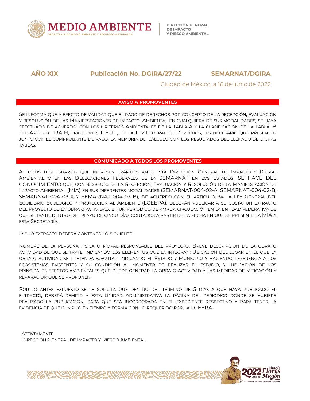

## Ciudad de México, a 16 de junio de 2022

## **AVISO A PROMOVENTES**

SE INFORMA QUE A EFECTO DE VALIDAR QUE EL PAGO DE DERECHOS POR CONCEPTO DE LA RECEPCIÓN, EVALUACIÓN Y RESOLUCIÓN DE LAS MANIFESTACIONES DE IMPACTO AMBIENTAL EN CUALQUIERA DE SUS MODALIDADES, SE HAYA EFECTUADO DE ACUERDO CON LOS CRITERIOS AMBIENTALES DE LA TABLA A Y LA CLASIFICACIÓN DE LA TABLA B DEL ARTÍCULO 194 H, FRACCIONES II Y III, DE LA LEY FEDERAL DE DERECHOS, ES NECESARIO QUE PRESENTEN JUNTO CON EL COMPROBANTE DE PAGO, LA MEMORIA DE CÁLCULO CON LOS RESULTADOS DEL LLENADO DE DICHAS TABLAS.

## **COMUNICADO A TODOS LOS PROMOVENTES**

A TODOS LOS USUARIOS QUE INGRESEN TRÁMITES ANTE ESTA DIRECCIÓN GENERAL DE IMPACTO Y RIESGO AMBIENTAL O EN LAS DELEGACIONES FEDERALES DE LA SEMARNAT EN LOS ESTADOS, SE HACE DEL CONOCIMIENTO QUE, CON RESPECTO DE LA RECEPCIÓN, EVALUACIÓN Y RESOLUCIÓN DE LA MANIFESTACIÓN DE IMPACTO AMBIENTAL (MIA) EN SUS DIFERENTES MODALIDADES (SEMARNAT-004-02-A, SEMARNAT-004-02-B, SEMARNAT-004-03-A Y SEMARNAT-004-03-B), DE ACUERDO CON ELARTÍCULO 34 LALEY GENERAL DEL EQUILIBRIO ECOLÓGICO Y PROTECCIÓN AL AMBIENTE (LGEEPA), DEBERÁN PUBLICAR A SU COSTA, UN EXTRACTO DEL PROYECTO DE LA OBRA O ACTIVIDAD, EN UN PERIÓDICO DE AMPLIA CIRCULACIÓN EN LA ENTIDAD FEDERATIVA DE QUE SE TRATE, DENTRO DEL PLAZO DE CINCO DÍAS CONTADOS A PARTIR DE LA FECHA EN QUE SE PRESENTE LA MIA A ESTA SECRETARÍA.

DICHO EXTRACTO DEBERÁ CONTENER LO SIGUIENTE:

NOMBRE DE LA PERSONA FÍSICA O MORAL RESPONSABLE DEL PROYECTO; BREVE DESCRIPCIÓN DE LA OBRA O ACTIVIDAD DE QUE SE TRATE, INDICANDO LOS ELEMENTOS QUE LA INTEGRAN;UBICACIÓN DEL LUGAR EN EL QUE LA OBRA O ACTIVIDAD SE PRETENDA EJECUTAR, INDICANDO EL ESTADO Y MUNICIPIO Y HACIENDO REFERENCIA A LOS ECOSISTEMAS EXISTENTES Y SU CONDICIÓN AL MOMENTO DE REALIZAR EL ESTUDIO, Y INDICACIÓN DE LOS PRINCIPALES EFECTOS AMBIENTALES QUE PUEDE GENERAR LA OBRA O ACTIVIDAD Y LAS MEDIDAS DE MITIGACIÓN Y REPARACIÓN QUE SE PROPONEN;

POR LO ANTES EXPUESTO SE LE SOLICITA QUE DENTRO DEL TÉRMINO DE 5 DÍAS A QUE HAYA PUBLICADO EL EXTRACTO, DEBERÁ REMITIR A ESTA UNIDAD ADMINISTRATIVA LA PÁGINA DEL PERIÓDICO DONDE SE HUBIERE REALIZADO LA PUBLICACIÓN, PARA QUE SEA INCORPORADA EN EL EXPEDIENTE RESPECTIVO Y PARA TENER LA EVIDENCIA DE QUE CUMPLIÓ EN TIEMPO Y FORMA CON LO REQUERIDO POR LA LGEEPA.

**ATENTAMENTE** DIRECCIÓN GENERAL DE IMPACTO Y RIESGO AMBIENTAL

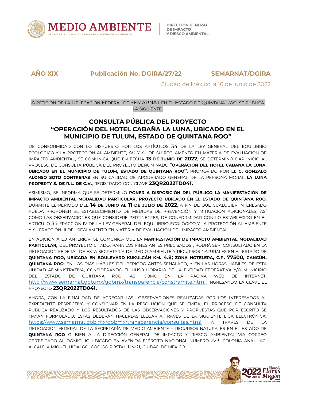

**DIRECCIÓN GENERAL DE IMPACTO Y RIESGO AMBIENTAL** 

**AÑO XIX Publicación No. DGIRA/27/22 SEMARNAT/DGIRA**

Ciudad de México, a 16 de junio de 2022

A PETICIÓN DE LA DELEGACIÓN FEDERAL DE SEMARNAT EN EL ESTADO DE QUINTANA ROO, SE PUBLICA LA SIGUIENTE:

# **CONSULTA PÚBLICA DEL PROYECTO "OPERACIÓN DEL HOTEL CABAÑA LA LUNA, UBICADO EN EL MUNICIPIO DE TULUM, ESTADO DE QUINTANA ROO"**

DE CONFORMIDAD CON LO DISPUESTO POR LOS ARTÍCULOS 34 DE LA LEY GENERAL DEL EQUILIBRIO ECOLÓGICO Y LA PROTECCIÓN AL AMBIENTE, 40 Y 41 DE SU REGLAMENTO EN MATERIA DE EVALUACIÓN DE IMPACTO AMBIENTAL, SE COMUNICA QUE EN FECHA **13 DE JUNIO DE 2022**, SE DETERMINÓ DAR INICIO AL PROCESO DE CONSULTA PÚBLICA DELPROYECTO DENOMINADO "**OPERACIÓN DEL HOTEL CABAÑA LA LUNA, UBICADO EN EL MUNICIPIO DE TULUM, ESTADO DE QUINTANA ROO"**, PROMOVIDO POR EL **C. GONZALO ALONSO SOTO CONTRERAS** EN SU CALIDAD DE APODERADO GENERAL DE LA PERSONA MORAL **LA LUNA PROPERTY S. DE R.L. DE C.V.**, REGISTRADO CON CLAVE **23QR2022TD041.**

ASIMISMO, SE INFORMA QUE SE DETERMINÓ **PONER A DISPOSICIÓN DEL PÚBLICO LA MANIFESTACIÓN DE IMPACTO AMBIENTAL MODALIDAD PARTICULAR, PROYECTO UBICADO EN EL ESTADO DE QUINTANA ROO**, DURANTE EL PERIODO DEL **14 DE JUNIO AL 11 DE JULIO DE 2022**, A FIN DE QUE CUALQUIER INTERESADO PUEDA PROPONER EL ESTABLECIMIENTO DE MEDIDAS DE PREVENCIÓN Y MITIGACIÓN ADICIONALES, ASÍ COMO LAS OBSERVACIONES QUE CONSIDERE PERTINENTES, DE CONFORMIDAD CON LO ESTABLECIDO EN EL ARTÍCULO 34 FRACCIÓN IV DE LA LEY GENERAL DEL EQUILIBRIO ECOLÓGICO Y LA PROTECCIÓN AL AMBIENTE Y 41 FRACCIÓN III DEL REGLAMENTO EN MATERIA DE EVALUACIÓN DEL IMPACTO AMBIENTAL.

EN ADICIÓN A LO ANTERIOR, SE COMUNICA QUE LA **MANIFESTACIÓN DE IMPACTO AMBIENTAL MODALIDAD PARTICULAR,** DEL PROYECTO CITADO, PARA LOS FINES ANTES PRECISADOS , PODRÁ SER CONSULTADO EN LA DELEGACIÓN FEDERAL DE ESTA SECRETARÍA DE MEDIO AMBIENTE Y RECURSOS NATURALES EN EL ESTADO DE QUINTANA ROO, UBICADA EN BOULEVARD KUKULCÁN KM. 4.8; ZONA HOTELERA, C.P. 77500, CANCÚN, **QUINTANA ROO**, EN LOS DÍAS HÁBILES DEL PERIODO ANTES SEÑALADO, Y EN LAS HORAS HÁBILES DE ESTA UNIDAD ADMINISTRATIVA, CONSIDERANDO EL HUSO HORARIO DE LA ENTIDAD FEDERATIVA Y/O MUNICIPIO DEL ESTADO DEQUINTANA ROO. ASÍCOMO EN LA PÁGINA WEB DE INTERNET: http://www.semarnat.gob.mx/gobmx/transparencia/constramite.html, INGRESANDO LA CLAVE EL PROYECTO **23QR2022TD041.**

AHORA, CON LA FINALIDAD DE AGREGAR LAS OBSERVACIONES REALIZADAS POR LOS INTERESADOS AL EXPEDIENTE RESPECTIVO Y CONSIGNAR EN LA RESOLUCIÓN QUE SE EMITA, EL PROCESO DE CONSULTA PUBLICA REALIZADO Y LOS RESULTADOS DE LAS OBSERVACIONES Y PROPUESTAS QUE POR ESCRITO SE HAYAN FORMULADO, ESTÁS DEBERÁN HACERLAS LLEGAR A TRAVÉS DE LA SIGUIENTE LIGA ELECTRÓNICA: https://www.semarnat.gob.mx/gobmx/transparencia/consultas.html, A TRAVÉS DE LA DELEGACIÓN FEDERAL DE LA SECRETARÍA DE MEDIO AMBIENTE Y RECURSOS NATURALES EN EL ESTADO DE **QUINTANA ROO** O BIEN A LA DIRECCIÓN GENERAL DE IMPACTO Y RIESGO AMBIENTAL VÍA CORREO CERTIFICADO AL DOMICILIO UBICADO EN AVENIDA EJÉRCITO NACIONAL NÚMERO 223, COLONIA ANÁHUAC, ALCALDÍA MIGUEL HIDALGO, CÓDIGO POSTAL 11320, CIUDAD DE MÉXICO.